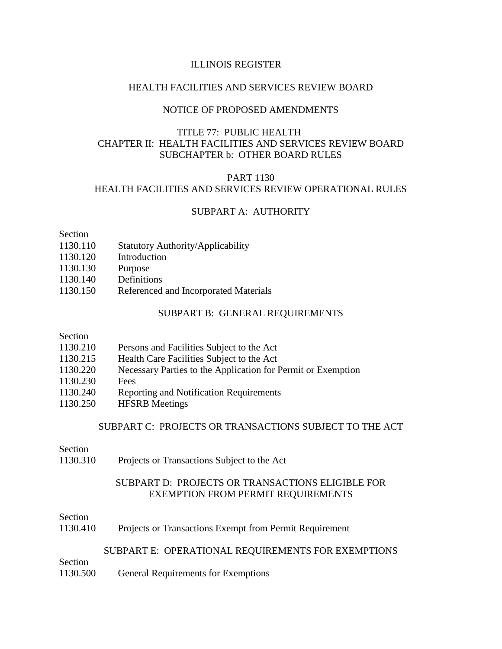### ILLINOIS REGISTER

### HEALTH FACILITIES AND SERVICES REVIEW BOARD

## NOTICE OF PROPOSED AMENDMENTS

# TITLE 77: PUBLIC HEALTH CHAPTER II: HEALTH FACILITIES AND SERVICES REVIEW BOARD SUBCHAPTER b: OTHER BOARD RULES

# PART 1130 HEALTH FACILITIES AND SERVICES REVIEW OPERATIONAL RULES

## SUBPART A: AUTHORITY

### Section

- 1130.110 Statutory Authority/Applicability
- 1130.120 Introduction
- 1130.130 Purpose
- 1130.140 Definitions
- 1130.150 Referenced and Incorporated Materials

### SUBPART B: GENERAL REQUIREMENTS

#### Section

- 1130.215 Health Care Facilities Subject to the Act
- 1130.220 Necessary Parties to the Application for Permit or Exemption
- 1130.230 Fees
- 1130.240 Reporting and Notification Requirements
- 1130.250 HFSRB Meetings

# SUBPART C: PROJECTS OR TRANSACTIONS SUBJECT TO THE ACT

### Section

1130.310 Projects or Transactions Subject to the Act

## SUBPART D: PROJECTS OR TRANSACTIONS ELIGIBLE FOR EXEMPTION FROM PERMIT REQUIREMENTS

### Section

1130.410 Projects or Transactions Exempt from Permit Requirement

### SUBPART E: OPERATIONAL REQUIREMENTS FOR EXEMPTIONS

Section

1130.500 General Requirements for Exemptions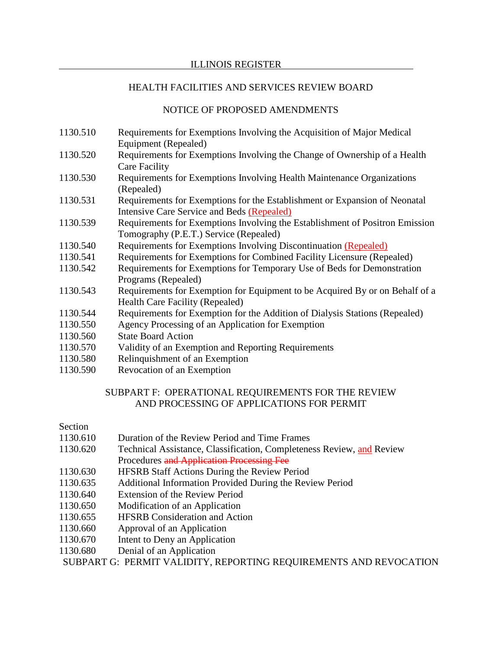# NOTICE OF PROPOSED AMENDMENTS

- 1130.510 Requirements for Exemptions Involving the Acquisition of Major Medical Equipment (Repealed)
- 1130.520 Requirements for Exemptions Involving the Change of Ownership of a Health Care Facility
- 1130.530 Requirements for Exemptions Involving Health Maintenance Organizations (Repealed)
- 1130.531 Requirements for Exemptions for the Establishment or Expansion of Neonatal Intensive Care Service and Beds (Repealed)
- 1130.539 Requirements for Exemptions Involving the Establishment of Positron Emission Tomography (P.E.T.) Service (Repealed)
- 1130.540 Requirements for Exemptions Involving Discontinuation (Repealed)
- 1130.541 Requirements for Exemptions for Combined Facility Licensure (Repealed)
- 1130.542 Requirements for Exemptions for Temporary Use of Beds for Demonstration Programs (Repealed)
- 1130.543 Requirements for Exemption for Equipment to be Acquired By or on Behalf of a Health Care Facility (Repealed)
- 1130.544 Requirements for Exemption for the Addition of Dialysis Stations (Repealed)
- 1130.550 Agency Processing of an Application for Exemption
- 1130.560 State Board Action
- 1130.570 Validity of an Exemption and Reporting Requirements
- 1130.580 Relinquishment of an Exemption
- 1130.590 Revocation of an Exemption

# SUBPART F: OPERATIONAL REQUIREMENTS FOR THE REVIEW AND PROCESSING OF APPLICATIONS FOR PERMIT

# Section

- 1130.610 Duration of the Review Period and Time Frames
- 1130.620 Technical Assistance, Classification, Completeness Review, and Review Procedures and Application Processing Fee
- 1130.630 HFSRB Staff Actions During the Review Period
- 1130.635 Additional Information Provided During the Review Period
- 1130.640 Extension of the Review Period
- 1130.650 Modification of an Application
- 1130.655 HFSRB Consideration and Action
- 1130.660 Approval of an Application
- 1130.670 Intent to Deny an Application
- 1130.680 Denial of an Application

SUBPART G: PERMIT VALIDITY, REPORTING REQUIREMENTS AND REVOCATION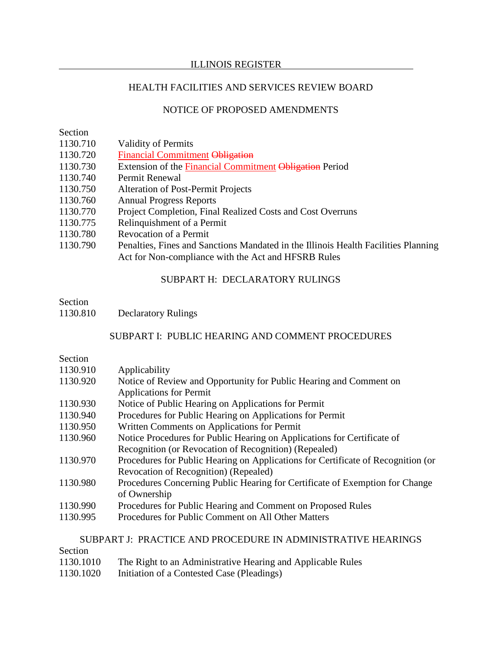### ILLINOIS REGISTER

## HEALTH FACILITIES AND SERVICES REVIEW BOARD

## NOTICE OF PROPOSED AMENDMENTS

#### Section

- 1130.710 Validity of Permits
- 1130.720 Financial Commitment Obligation
- 1130.730 Extension of the Financial Commitment Obligation Period
- 1130.740 Permit Renewal
- 1130.750 Alteration of Post-Permit Projects
- 1130.760 Annual Progress Reports
- 1130.770 Project Completion, Final Realized Costs and Cost Overruns
- 1130.775 Relinquishment of a Permit
- 1130.780 Revocation of a Permit
- 1130.790 Penalties, Fines and Sanctions Mandated in the Illinois Health Facilities Planning Act for Non-compliance with the Act and HFSRB Rules

## SUBPART H: DECLARATORY RULINGS

# Section

1130.810 Declaratory Rulings

## SUBPART I: PUBLIC HEARING AND COMMENT PROCEDURES

### Section

- 1130.910 Applicability
- 1130.920 Notice of Review and Opportunity for Public Hearing and Comment on Applications for Permit
- 1130.930 Notice of Public Hearing on Applications for Permit
- 1130.940 Procedures for Public Hearing on Applications for Permit
- 1130.950 Written Comments on Applications for Permit
- 1130.960 Notice Procedures for Public Hearing on Applications for Certificate of Recognition (or Revocation of Recognition) (Repealed)
- 1130.970 Procedures for Public Hearing on Applications for Certificate of Recognition (or Revocation of Recognition) (Repealed)
- 1130.980 Procedures Concerning Public Hearing for Certificate of Exemption for Change of Ownership
- 1130.990 Procedures for Public Hearing and Comment on Proposed Rules
- 1130.995 Procedures for Public Comment on All Other Matters

### SUBPART J: PRACTICE AND PROCEDURE IN ADMINISTRATIVE HEARINGS

| Section   |                                                             |
|-----------|-------------------------------------------------------------|
| 1130.1010 | The Right to an Administrative Hearing and Applicable Rules |
| 1130.1020 | Initiation of a Contested Case (Pleadings)                  |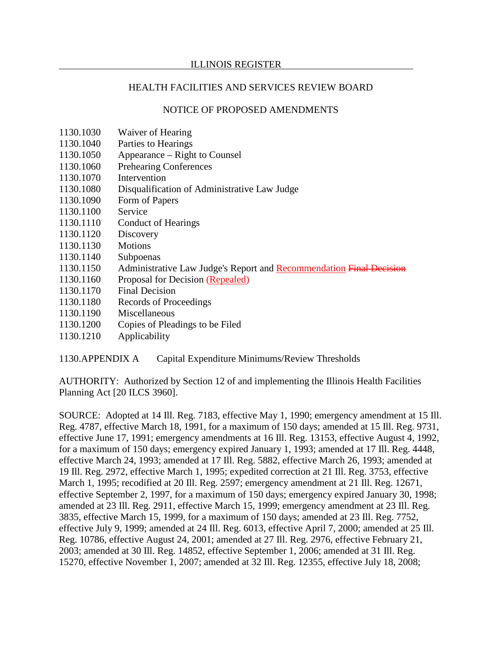# NOTICE OF PROPOSED AMENDMENTS

- 1130.1030 Waiver of Hearing
- 1130.1040 Parties to Hearings
- 1130.1050 Appearance Right to Counsel
- 1130.1060 Prehearing Conferences
- 1130.1070 Intervention
- 1130.1080 Disqualification of Administrative Law Judge
- 1130.1090 Form of Papers
- 1130.1100 Service
- 1130.1110 Conduct of Hearings
- 1130.1120 Discovery
- 1130.1130 Motions
- 1130.1140 Subpoenas
- 1130.1150 Administrative Law Judge's Report and Recommendation Final Decision
- 1130.1160 Proposal for Decision (Repealed)
- 1130.1170 Final Decision
- 1130.1180 Records of Proceedings
- 1130.1190 Miscellaneous
- 1130.1200 Copies of Pleadings to be Filed
- 1130.1210 Applicability

1130.APPENDIX A Capital Expenditure Minimums/Review Thresholds

AUTHORITY: Authorized by Section 12 of and implementing the Illinois Health Facilities Planning Act [20 ILCS 3960].

SOURCE: Adopted at 14 Ill. Reg. 7183, effective May 1, 1990; emergency amendment at 15 Ill. Reg. 4787, effective March 18, 1991, for a maximum of 150 days; amended at 15 Ill. Reg. 9731, effective June 17, 1991; emergency amendments at 16 Ill. Reg. 13153, effective August 4, 1992, for a maximum of 150 days; emergency expired January 1, 1993; amended at 17 Ill. Reg. 4448, effective March 24, 1993; amended at 17 Ill. Reg. 5882, effective March 26, 1993; amended at 19 Ill. Reg. 2972, effective March 1, 1995; expedited correction at 21 Ill. Reg. 3753, effective March 1, 1995; recodified at 20 Ill. Reg. 2597; emergency amendment at 21 Ill. Reg. 12671, effective September 2, 1997, for a maximum of 150 days; emergency expired January 30, 1998; amended at 23 Ill. Reg. 2911, effective March 15, 1999; emergency amendment at 23 Ill. Reg. 3835, effective March 15, 1999, for a maximum of 150 days; amended at 23 Ill. Reg. 7752, effective July 9, 1999; amended at 24 Ill. Reg. 6013, effective April 7, 2000; amended at 25 Ill. Reg. 10786, effective August 24, 2001; amended at 27 Ill. Reg. 2976, effective February 21, 2003; amended at 30 Ill. Reg. 14852, effective September 1, 2006; amended at 31 Ill. Reg. 15270, effective November 1, 2007; amended at 32 Ill. Reg. 12355, effective July 18, 2008;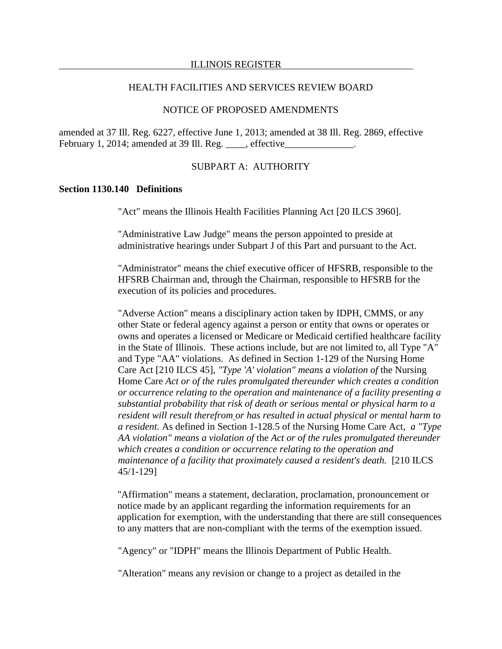## NOTICE OF PROPOSED AMENDMENTS

amended at 37 Ill. Reg. 6227, effective June 1, 2013; amended at 38 Ill. Reg. 2869, effective February 1, 2014; amended at 39 Ill. Reg. \_\_\_\_, effective\_\_\_\_\_\_\_\_\_\_\_\_\_\_.

### SUBPART A: AUTHORITY

### **Section 1130.140 Definitions**

"Act" means the Illinois Health Facilities Planning Act [20 ILCS 3960].

"Administrative Law Judge" means the person appointed to preside at administrative hearings under Subpart J of this Part and pursuant to the Act.

"Administrator" means the chief executive officer of HFSRB, responsible to the HFSRB Chairman and, through the Chairman, responsible to HFSRB for the execution of its policies and procedures.

"Adverse Action" means a disciplinary action taken by IDPH, CMMS, or any other State or federal agency against a person or entity that owns or operates or owns and operates a licensed or Medicare or Medicaid certified healthcare facility in the State of Illinois. These actions include, but are not limited to, all Type "A" and Type "AA" violations. As defined in Section 1-129 of the Nursing Home Care Act [210 ILCS 45], *"Type 'A' violation" means a violation of* the Nursing Home Care *Act or of the rules promulgated thereunder which creates a condition or occurrence relating to the operation and maintenance of a facility presenting a substantial probability that risk of death or serious mental or physical harm to a resident will result therefrom or has resulted in actual physical or mental harm to a resident.* As defined in Section 1-128.5 of the Nursing Home Care Act, *a "Type AA violation" means a violation of* the *Act or of the rules promulgated thereunder which creates a condition or occurrence relating to the operation and maintenance of a facility that proximately caused a resident's death.* [210 ILCS 45/1-129]

"Affirmation" means a statement, declaration, proclamation, pronouncement or notice made by an applicant regarding the information requirements for an application for exemption, with the understanding that there are still consequences to any matters that are non-compliant with the terms of the exemption issued.

"Agency" or "IDPH" means the Illinois Department of Public Health.

"Alteration" means any revision or change to a project as detailed in the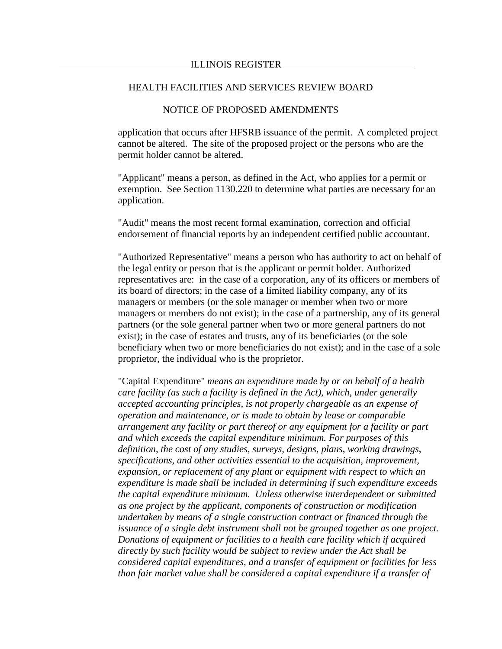### NOTICE OF PROPOSED AMENDMENTS

application that occurs after HFSRB issuance of the permit. A completed project cannot be altered. The site of the proposed project or the persons who are the permit holder cannot be altered.

"Applicant" means a person, as defined in the Act, who applies for a permit or exemption. See Section 1130.220 to determine what parties are necessary for an application.

"Audit" means the most recent formal examination, correction and official endorsement of financial reports by an independent certified public accountant.

"Authorized Representative" means a person who has authority to act on behalf of the legal entity or person that is the applicant or permit holder. Authorized representatives are: in the case of a corporation, any of its officers or members of its board of directors; in the case of a limited liability company, any of its managers or members (or the sole manager or member when two or more managers or members do not exist); in the case of a partnership, any of its general partners (or the sole general partner when two or more general partners do not exist); in the case of estates and trusts, any of its beneficiaries (or the sole beneficiary when two or more beneficiaries do not exist); and in the case of a sole proprietor, the individual who is the proprietor.

"Capital Expenditure" *means an expenditure made by or on behalf of a health care facility (as such a facility is defined in the Act), which, under generally accepted accounting principles, is not properly chargeable as an expense of operation and maintenance, or is made to obtain by lease or comparable arrangement any facility or part thereof or any equipment for a facility or part and which exceeds the capital expenditure minimum. For purposes of this definition, the cost of any studies, surveys, designs, plans, working drawings, specifications, and other activities essential to the acquisition, improvement, expansion, or replacement of any plant or equipment with respect to which an expenditure is made shall be included in determining if such expenditure exceeds the capital expenditure minimum. Unless otherwise interdependent or submitted as one project by the applicant, components of construction or modification undertaken by means of a single construction contract or financed through the issuance of a single debt instrument shall not be grouped together as one project. Donations of equipment or facilities to a health care facility which if acquired directly by such facility would be subject to review under the Act shall be considered capital expenditures, and a transfer of equipment or facilities for less than fair market value shall be considered a capital expenditure if a transfer of*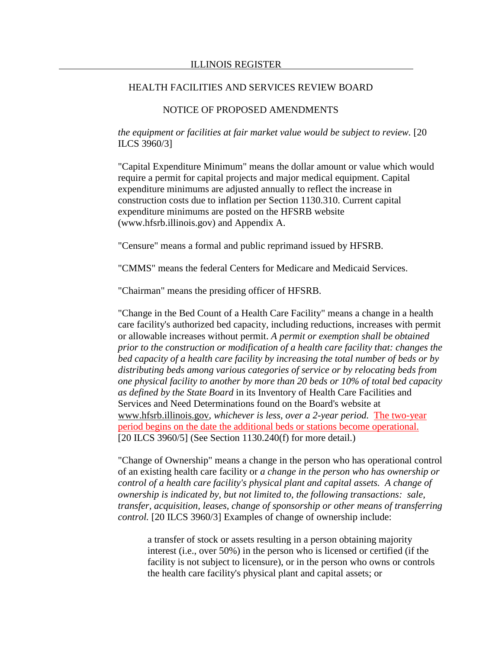# NOTICE OF PROPOSED AMENDMENTS

*the equipment or facilities at fair market value would be subject to review.* [20 ILCS 3960/3]

"Capital Expenditure Minimum" means the dollar amount or value which would require a permit for capital projects and major medical equipment. Capital expenditure minimums are adjusted annually to reflect the increase in construction costs due to inflation per Section 1130.310. Current capital expenditure minimums are posted on the HFSRB website (www.hfsrb.illinois.gov) and Appendix A.

"Censure" means a formal and public reprimand issued by HFSRB.

"CMMS" means the federal Centers for Medicare and Medicaid Services.

"Chairman" means the presiding officer of HFSRB.

"Change in the Bed Count of a Health Care Facility" means a change in a health care facility's authorized bed capacity, including reductions, increases with permit or allowable increases without permit. *A permit or exemption shall be obtained prior to the construction or modification of a health care facility that: changes the bed capacity of a health care facility by increasing the total number of beds or by distributing beds among various categories of service or by relocating beds from one physical facility to another by more than 20 beds or 10% of total bed capacity as defined by the State Board* in its Inventory of Health Care Facilities and Services and Need Determinations found on the Board's website at www.hfsrb.illinois.gov, *whichever is less, over a 2-year period.* The two-year period begins on the date the additional beds or stations become operational. [20 ILCS 3960/5] (See Section 1130.240(f) for more detail.)

"Change of Ownership" means a change in the person who has operational control of an existing health care facility or *a change in the person who has ownership or control of a health care facility's physical plant and capital assets. A change of ownership is indicated by, but not limited to, the following transactions: sale, transfer, acquisition, leases, change of sponsorship or other means of transferring control.* [20 ILCS 3960/3] Examples of change of ownership include:

a transfer of stock or assets resulting in a person obtaining majority interest (i.e., over 50%) in the person who is licensed or certified (if the facility is not subject to licensure), or in the person who owns or controls the health care facility's physical plant and capital assets; or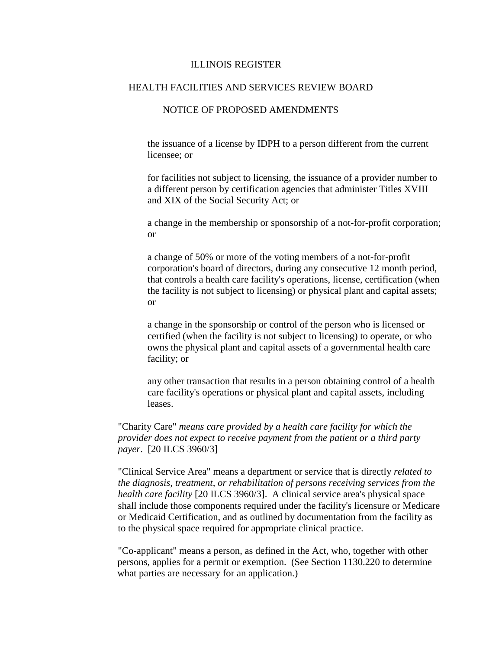## NOTICE OF PROPOSED AMENDMENTS

the issuance of a license by IDPH to a person different from the current licensee; or

for facilities not subject to licensing, the issuance of a provider number to a different person by certification agencies that administer Titles XVIII and XIX of the Social Security Act; or

a change in the membership or sponsorship of a not-for-profit corporation; or

a change of 50% or more of the voting members of a not-for-profit corporation's board of directors, during any consecutive 12 month period, that controls a health care facility's operations, license, certification (when the facility is not subject to licensing) or physical plant and capital assets; or

a change in the sponsorship or control of the person who is licensed or certified (when the facility is not subject to licensing) to operate, or who owns the physical plant and capital assets of a governmental health care facility; or

any other transaction that results in a person obtaining control of a health care facility's operations or physical plant and capital assets, including leases.

"Charity Care" *means care provided by a health care facility for which the provider does not expect to receive payment from the patient or a third party payer*. [20 ILCS 3960/3]

"Clinical Service Area" means a department or service that is directly *related to the diagnosis, treatment, or rehabilitation of persons receiving services from the health care facility* [20 ILCS 3960/3]. A clinical service area's physical space shall include those components required under the facility's licensure or Medicare or Medicaid Certification, and as outlined by documentation from the facility as to the physical space required for appropriate clinical practice.

"Co-applicant" means a person, as defined in the Act, who, together with other persons, applies for a permit or exemption. (See Section 1130.220 to determine what parties are necessary for an application.)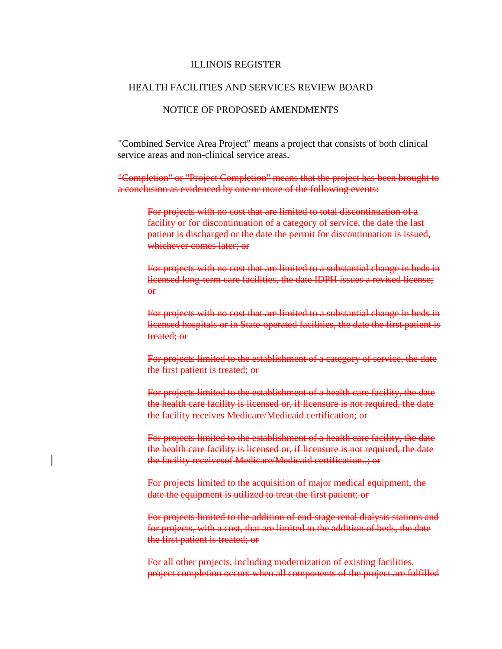# NOTICE OF PROPOSED AMENDMENTS

"Combined Service Area Project" means a project that consists of both clinical service areas and non-clinical service areas.

"Completion" or "Project Completion" means that the project has been brought to a conclusion as evidenced by one or more of the following events:

For projects with no cost that are limited to total discontinuation of a facility or for discontinuation of a category of service, the date the last patient is discharged or the date the permit for discontinuation is issued, whichever comes later; or

For projects with no cost that are limited to a substantial change in beds in licensed long-term care facilities, the date IDPH issues a revised license;  $\overline{H}$ 

For projects with no cost that are limited to a substantial change in beds in licensed hospitals or in State-operated facilities, the date the first patient is treated; or

For projects limited to the establishment of a category of service, the date the first patient is treated; or

For projects limited to the establishment of a health care facility, the date the health care facility is licensed or, if licensure is not required, the date the facility receives Medicare/Medicaid certification; or

For projects limited to the establishment of a health care facility, the date the health care facility is licensed or, if licensure is not required, the date the facility receivesof Medicare/Medicaid certification..; or

For projects limited to the acquisition of major medical equipment, the date the equipment is utilized to treat the first patient; or

For projects limited to the addition of end-stage renal dialysis stations and for projects, with a cost, that are limited to the addition of beds, the date the first patient is treated; or

For all other projects, including modernization of existing facilities, project completion occurs when all components of the project are fulfilled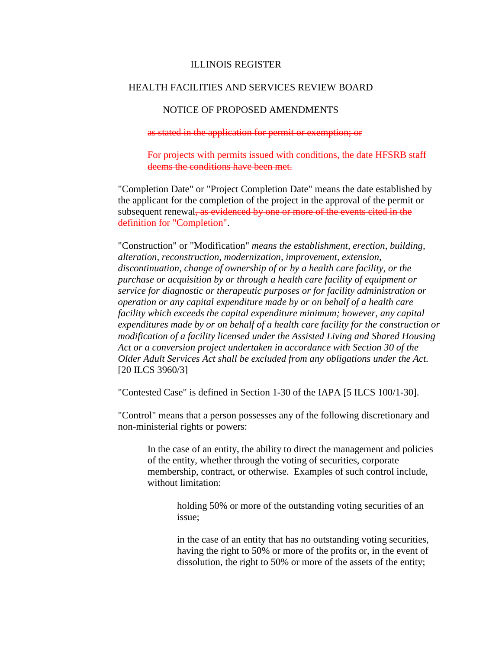# NOTICE OF PROPOSED AMENDMENTS

as stated in the application for permit or exemption; or

For projects with permits issued with conditions, the date HFSRB staff deems the conditions have been met.

"Completion Date" or "Project Completion Date" means the date established by the applicant for the completion of the project in the approval of the permit or subsequent renewal, as evidenced by one or more of the events cited in the definition for "Completion".

"Construction" or "Modification" *means the establishment, erection, building, alteration, reconstruction, modernization, improvement, extension, discontinuation, change of ownership of or by a health care facility, or the purchase or acquisition by or through a health care facility of equipment or service for diagnostic or therapeutic purposes or for facility administration or operation or any capital expenditure made by or on behalf of a health care facility which exceeds the capital expenditure minimum; however, any capital expenditures made by or on behalf of a health care facility for the construction or modification of a facility licensed under the Assisted Living and Shared Housing Act or a conversion project undertaken in accordance with Section 30 of the Older Adult Services Act shall be excluded from any obligations under the Act.* [20 ILCS 3960/3]

"Contested Case" is defined in Section 1-30 of the IAPA [5 ILCS 100/1-30].

"Control" means that a person possesses any of the following discretionary and non-ministerial rights or powers:

In the case of an entity, the ability to direct the management and policies of the entity, whether through the voting of securities, corporate membership, contract, or otherwise. Examples of such control include, without limitation:

> holding 50% or more of the outstanding voting securities of an issue;

in the case of an entity that has no outstanding voting securities, having the right to 50% or more of the profits or, in the event of dissolution, the right to 50% or more of the assets of the entity;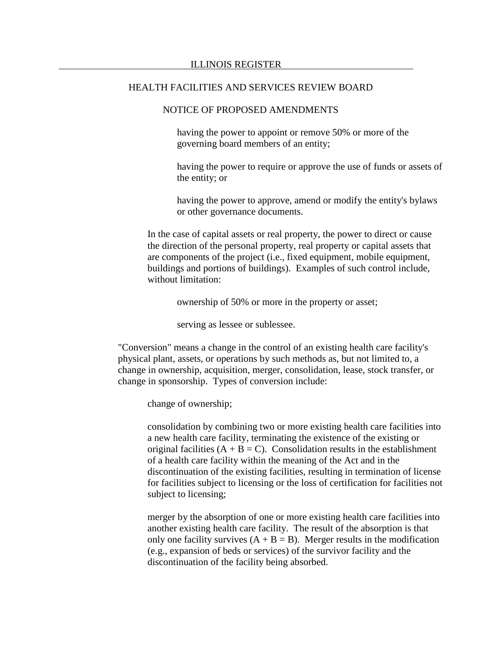### NOTICE OF PROPOSED AMENDMENTS

having the power to appoint or remove 50% or more of the governing board members of an entity;

having the power to require or approve the use of funds or assets of the entity; or

having the power to approve, amend or modify the entity's bylaws or other governance documents.

In the case of capital assets or real property, the power to direct or cause the direction of the personal property, real property or capital assets that are components of the project (i.e., fixed equipment, mobile equipment, buildings and portions of buildings). Examples of such control include, without limitation:

ownership of 50% or more in the property or asset;

serving as lessee or sublessee.

"Conversion" means a change in the control of an existing health care facility's physical plant, assets, or operations by such methods as, but not limited to, a change in ownership, acquisition, merger, consolidation, lease, stock transfer, or change in sponsorship. Types of conversion include:

change of ownership;

consolidation by combining two or more existing health care facilities into a new health care facility, terminating the existence of the existing or original facilities  $(A + B = C)$ . Consolidation results in the establishment of a health care facility within the meaning of the Act and in the discontinuation of the existing facilities, resulting in termination of license for facilities subject to licensing or the loss of certification for facilities not subject to licensing;

merger by the absorption of one or more existing health care facilities into another existing health care facility. The result of the absorption is that only one facility survives  $(A + B = B)$ . Merger results in the modification (e.g., expansion of beds or services) of the survivor facility and the discontinuation of the facility being absorbed.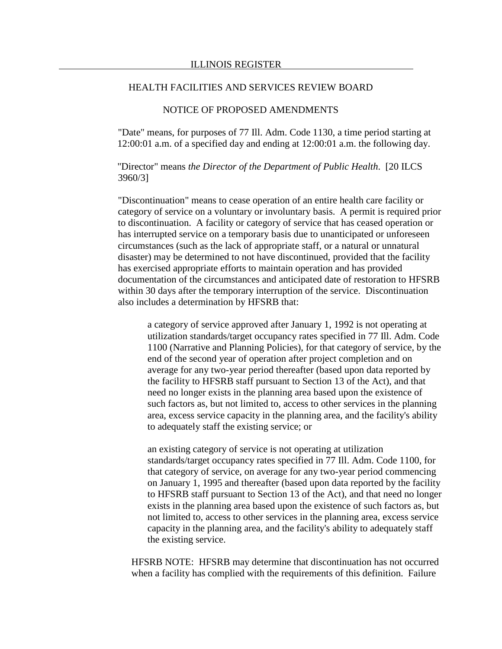## NOTICE OF PROPOSED AMENDMENTS

"Date" means, for purposes of 77 Ill. Adm. Code 1130, a time period starting at 12:00:01 a.m. of a specified day and ending at 12:00:01 a.m. the following day.

"Director" means *the Director of the Department of Public Health*. [20 ILCS 3960/3]

"Discontinuation" means to cease operation of an entire health care facility or category of service on a voluntary or involuntary basis. A permit is required prior to discontinuation. A facility or category of service that has ceased operation or has interrupted service on a temporary basis due to unanticipated or unforeseen circumstances (such as the lack of appropriate staff, or a natural or unnatural disaster) may be determined to not have discontinued, provided that the facility has exercised appropriate efforts to maintain operation and has provided documentation of the circumstances and anticipated date of restoration to HFSRB within 30 days after the temporary interruption of the service. Discontinuation also includes a determination by HFSRB that:

a category of service approved after January 1, 1992 is not operating at utilization standards/target occupancy rates specified in 77 Ill. Adm. Code 1100 (Narrative and Planning Policies), for that category of service, by the end of the second year of operation after project completion and on average for any two-year period thereafter (based upon data reported by the facility to HFSRB staff pursuant to Section 13 of the Act), and that need no longer exists in the planning area based upon the existence of such factors as, but not limited to, access to other services in the planning area, excess service capacity in the planning area, and the facility's ability to adequately staff the existing service; or

an existing category of service is not operating at utilization standards/target occupancy rates specified in 77 Ill. Adm. Code 1100, for that category of service, on average for any two-year period commencing on January 1, 1995 and thereafter (based upon data reported by the facility to HFSRB staff pursuant to Section 13 of the Act), and that need no longer exists in the planning area based upon the existence of such factors as, but not limited to, access to other services in the planning area, excess service capacity in the planning area, and the facility's ability to adequately staff the existing service.

HFSRB NOTE: HFSRB may determine that discontinuation has not occurred when a facility has complied with the requirements of this definition. Failure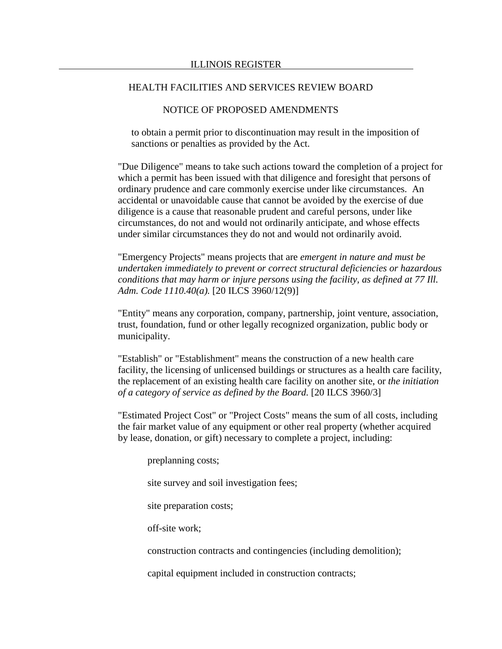### NOTICE OF PROPOSED AMENDMENTS

to obtain a permit prior to discontinuation may result in the imposition of sanctions or penalties as provided by the Act.

"Due Diligence" means to take such actions toward the completion of a project for which a permit has been issued with that diligence and foresight that persons of ordinary prudence and care commonly exercise under like circumstances. An accidental or unavoidable cause that cannot be avoided by the exercise of due diligence is a cause that reasonable prudent and careful persons, under like circumstances, do not and would not ordinarily anticipate, and whose effects under similar circumstances they do not and would not ordinarily avoid.

"Emergency Projects" means projects that are *emergent in nature and must be undertaken immediately to prevent or correct structural deficiencies or hazardous conditions that may harm or injure persons using the facility, as defined at 77 Ill. Adm. Code 1110.40(a).* [20 ILCS 3960/12(9)]

"Entity" means any corporation, company, partnership, joint venture, association, trust, foundation, fund or other legally recognized organization, public body or municipality.

"Establish" or "Establishment" means the construction of a new health care facility, the licensing of unlicensed buildings or structures as a health care facility, the replacement of an existing health care facility on another site, or *the initiation of a category of service as defined by the Board.* [20 ILCS 3960/3]

"Estimated Project Cost" or "Project Costs" means the sum of all costs, including the fair market value of any equipment or other real property (whether acquired by lease, donation, or gift) necessary to complete a project, including:

preplanning costs;

site survey and soil investigation fees;

site preparation costs;

off-site work;

construction contracts and contingencies (including demolition);

capital equipment included in construction contracts;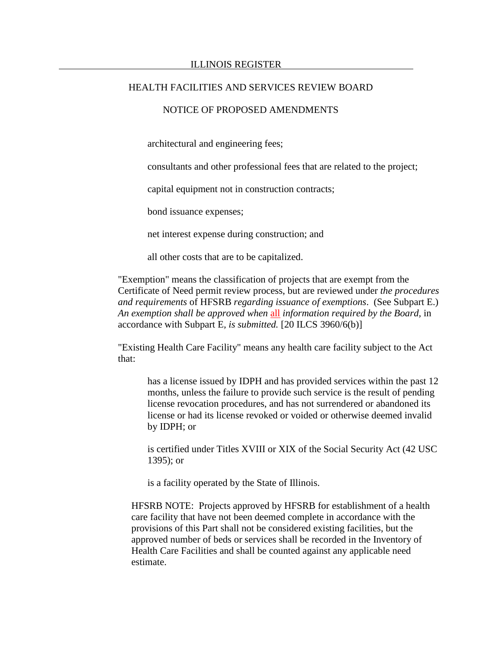## NOTICE OF PROPOSED AMENDMENTS

architectural and engineering fees;

consultants and other professional fees that are related to the project;

capital equipment not in construction contracts;

bond issuance expenses;

net interest expense during construction; and

all other costs that are to be capitalized.

"Exemption" means the classification of projects that are exempt from the Certificate of Need permit review process, but are reviewed under *the procedures and requirements* of HFSRB *regarding issuance of exemptions*. (See Subpart E.) *An exemption shall be approved when* all *information required by the Board,* in accordance with Subpart E*, is submitted.* [20 ILCS 3960/6(b)]

"Existing Health Care Facility" means any health care facility subject to the Act that:

has a license issued by IDPH and has provided services within the past 12 months, unless the failure to provide such service is the result of pending license revocation procedures, and has not surrendered or abandoned its license or had its license revoked or voided or otherwise deemed invalid by IDPH; or

is certified under Titles XVIII or XIX of the Social Security Act (42 USC 1395); or

is a facility operated by the State of Illinois.

HFSRB NOTE: Projects approved by HFSRB for establishment of a health care facility that have not been deemed complete in accordance with the provisions of this Part shall not be considered existing facilities, but the approved number of beds or services shall be recorded in the Inventory of Health Care Facilities and shall be counted against any applicable need estimate.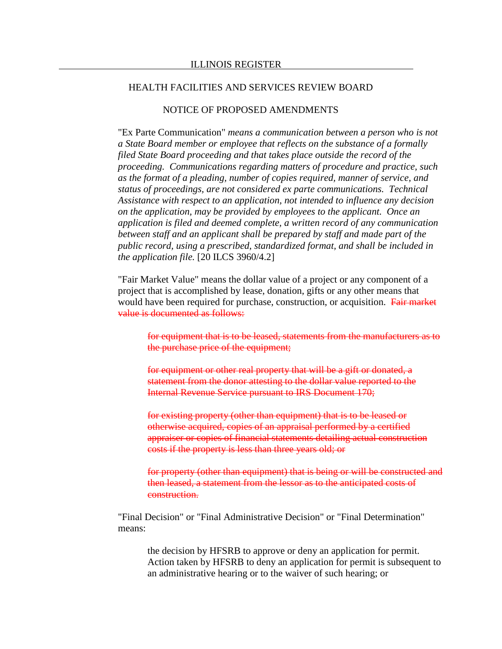### NOTICE OF PROPOSED AMENDMENTS

"Ex Parte Communication" *means a communication between a person who is not a State Board member or employee that reflects on the substance of a formally filed State Board proceeding and that takes place outside the record of the proceeding. Communications regarding matters of procedure and practice, such as the format of a pleading, number of copies required, manner of service, and status of proceedings, are not considered ex parte communications. Technical Assistance with respect to an application, not intended to influence any decision on the application, may be provided by employees to the applicant. Once an application is filed and deemed complete, a written record of any communication between staff and an applicant shall be prepared by staff and made part of the public record, using a prescribed, standardized format, and shall be included in the application file.* [20 ILCS 3960/4.2]

"Fair Market Value" means the dollar value of a project or any component of a project that is accomplished by lease, donation, gifts or any other means that would have been required for purchase, construction, or acquisition. Fair market value is documented as follows:

for equipment that is to be leased, statements from the manufacturers as to the purchase price of the equipment;

for equipment or other real property that will be a gift or donated, a statement from the donor attesting to the dollar value reported to the Internal Revenue Service pursuant to IRS Document 170;

for existing property (other than equipment) that is to be leased or otherwise acquired, copies of an appraisal performed by a certified appraiser or copies of financial statements detailing actual construction costs if the property is less than three years old; or

for property (other than equipment) that is being or will be constructed and then leased, a statement from the lessor as to the anticipated costs of construction.

"Final Decision" or "Final Administrative Decision" or "Final Determination" means:

the decision by HFSRB to approve or deny an application for permit. Action taken by HFSRB to deny an application for permit is subsequent to an administrative hearing or to the waiver of such hearing; or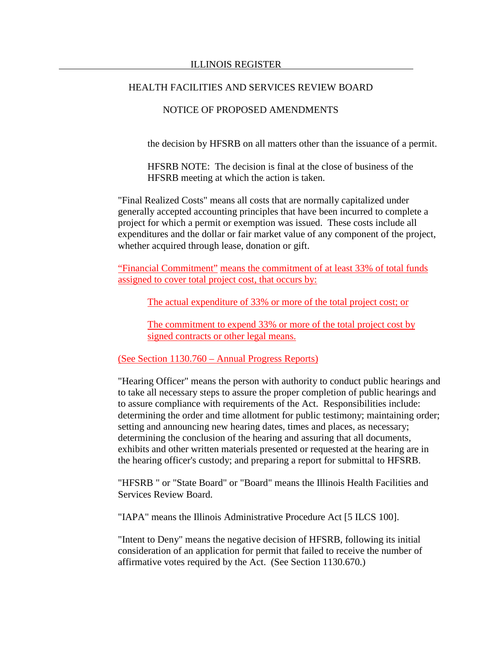### NOTICE OF PROPOSED AMENDMENTS

the decision by HFSRB on all matters other than the issuance of a permit.

HFSRB NOTE: The decision is final at the close of business of the HFSRB meeting at which the action is taken.

"Final Realized Costs" means all costs that are normally capitalized under generally accepted accounting principles that have been incurred to complete a project for which a permit or exemption was issued. These costs include all expenditures and the dollar or fair market value of any component of the project, whether acquired through lease, donation or gift.

"Financial Commitment" means the commitment of at least 33% of total funds assigned to cover total project cost, that occurs by:

The actual expenditure of 33% or more of the total project cost; or

The commitment to expend 33% or more of the total project cost by signed contracts or other legal means.

(See Section 1130.760 – Annual Progress Reports)

"Hearing Officer" means the person with authority to conduct public hearings and to take all necessary steps to assure the proper completion of public hearings and to assure compliance with requirements of the Act. Responsibilities include: determining the order and time allotment for public testimony; maintaining order; setting and announcing new hearing dates, times and places, as necessary; determining the conclusion of the hearing and assuring that all documents, exhibits and other written materials presented or requested at the hearing are in the hearing officer's custody; and preparing a report for submittal to HFSRB.

"HFSRB " or "State Board" or "Board" means the Illinois Health Facilities and Services Review Board.

"IAPA" means the Illinois Administrative Procedure Act [5 ILCS 100].

"Intent to Deny" means the negative decision of HFSRB, following its initial consideration of an application for permit that failed to receive the number of affirmative votes required by the Act. (See Section 1130.670.)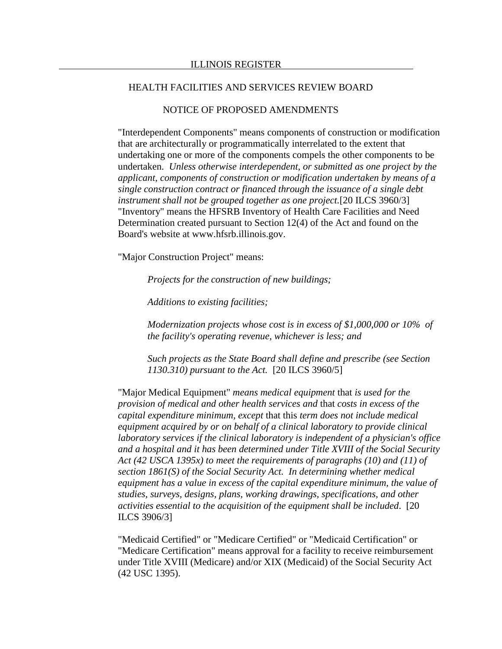### NOTICE OF PROPOSED AMENDMENTS

"Interdependent Components" means components of construction or modification that are architecturally or programmatically interrelated to the extent that undertaking one or more of the components compels the other components to be undertaken. *Unless otherwise interdependent, or submitted as one project by the applicant, components of construction or modification undertaken by means of a single construction contract or financed through the issuance of a single debt instrument shall not be grouped together as one project.*[20 ILCS 3960/3] "Inventory" means the HFSRB Inventory of Health Care Facilities and Need Determination created pursuant to Section 12(4) of the Act and found on the Board's website at www.hfsrb.illinois.gov.

"Major Construction Project" means:

*Projects for the construction of new buildings;*

*Additions to existing facilities;* 

*Modernization projects whose cost is in excess of \$1,000,000 or 10% of the facility's operating revenue, whichever is less; and*

*Such projects as the State Board shall define and prescribe (see Section 1130.310) pursuant to the Act.* [20 ILCS 3960/5]

"Major Medical Equipment" *means medical equipment* that *is used for the provision of medical and other health services and* that *costs in excess of the capital expenditure minimum, except* that this *term does not include medical equipment acquired by or on behalf of a clinical laboratory to provide clinical laboratory services if the clinical laboratory is independent of a physician's office and a hospital and it has been determined under Title XVIII of the Social Security Act (42 USCA 1395x) to meet the requirements of paragraphs (10) and (11) of section 1861(S) of the Social Security Act. In determining whether medical equipment has a value in excess of the capital expenditure minimum, the value of studies, surveys, designs, plans, working drawings, specifications, and other activities essential to the acquisition of the equipment shall be included*. [20 ILCS 3906/3]

"Medicaid Certified" or "Medicare Certified" or "Medicaid Certification" or "Medicare Certification" means approval for a facility to receive reimbursement under Title XVIII (Medicare) and/or XIX (Medicaid) of the Social Security Act (42 USC 1395).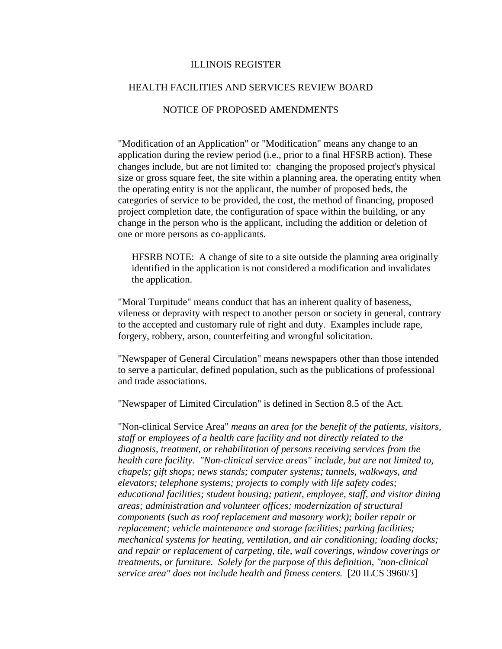### NOTICE OF PROPOSED AMENDMENTS

"Modification of an Application" or "Modification" means any change to an application during the review period (i.e., prior to a final HFSRB action). These changes include, but are not limited to: changing the proposed project's physical size or gross square feet, the site within a planning area, the operating entity when the operating entity is not the applicant, the number of proposed beds, the categories of service to be provided, the cost, the method of financing, proposed project completion date, the configuration of space within the building, or any change in the person who is the applicant, including the addition or deletion of one or more persons as co-applicants.

HFSRB NOTE: A change of site to a site outside the planning area originally identified in the application is not considered a modification and invalidates the application.

"Moral Turpitude" means conduct that has an inherent quality of baseness, vileness or depravity with respect to another person or society in general, contrary to the accepted and customary rule of right and duty. Examples include rape, forgery, robbery, arson, counterfeiting and wrongful solicitation.

"Newspaper of General Circulation" means newspapers other than those intended to serve a particular, defined population, such as the publications of professional and trade associations.

"Newspaper of Limited Circulation" is defined in Section 8.5 of the Act.

"Non-clinical Service Area" *means an area for the benefit of the patients, visitors, staff or employees of a health care facility and not directly related to the diagnosis, treatment, or rehabilitation of persons receiving services from the health care facility. "Non-clinical service areas" include, but are not limited to, chapels; gift shops; news stands; computer systems; tunnels, walkways, and elevators; telephone systems; projects to comply with life safety codes; educational facilities; student housing; patient, employee, staff, and visitor dining areas; administration and volunteer offices; modernization of structural components (such as roof replacement and masonry work); boiler repair or replacement; vehicle maintenance and storage facilities; parking facilities; mechanical systems for heating, ventilation, and air conditioning; loading docks; and repair or replacement of carpeting, tile, wall coverings, window coverings or treatments, or furniture. Solely for the purpose of this definition, "non-clinical service area" does not include health and fitness centers.* [20 ILCS 3960/3]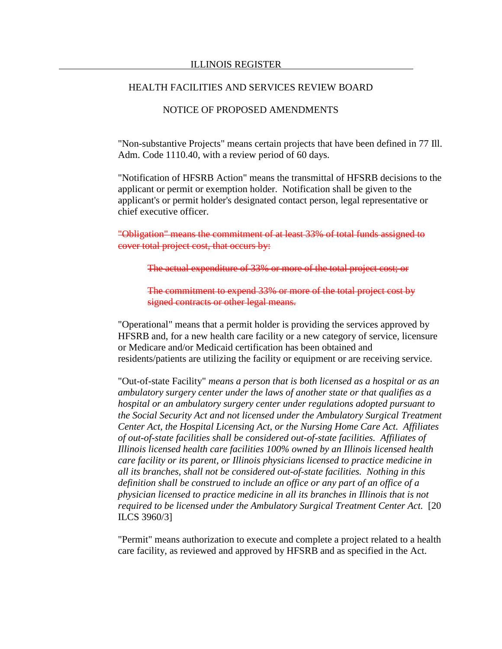## NOTICE OF PROPOSED AMENDMENTS

"Non-substantive Projects" means certain projects that have been defined in 77 Ill. Adm. Code 1110.40, with a review period of 60 days.

"Notification of HFSRB Action" means the transmittal of HFSRB decisions to the applicant or permit or exemption holder. Notification shall be given to the applicant's or permit holder's designated contact person, legal representative or chief executive officer.

"Obligation" means the commitment of at least 33% of total funds assigned to cover total project cost, that occurs by:

The actual expenditure of 33% or more of the total project cost; or

The commitment to expend 33% or more of the total project cost by signed contracts or other legal means.

"Operational" means that a permit holder is providing the services approved by HFSRB and, for a new health care facility or a new category of service, licensure or Medicare and/or Medicaid certification has been obtained and residents/patients are utilizing the facility or equipment or are receiving service.

"Out-of-state Facility" *means a person that is both licensed as a hospital or as an ambulatory surgery center under the laws of another state or that qualifies as a hospital or an ambulatory surgery center under regulations adopted pursuant to the Social Security Act and not licensed under the Ambulatory Surgical Treatment Center Act, the Hospital Licensing Act, or the Nursing Home Care Act. Affiliates of out-of-state facilities shall be considered out-of-state facilities. Affiliates of Illinois licensed health care facilities 100% owned by an Illinois licensed health care facility or its parent, or Illinois physicians licensed to practice medicine in all its branches, shall not be considered out-of-state facilities. Nothing in this definition shall be construed to include an office or any part of an office of a physician licensed to practice medicine in all its branches in Illinois that is not required to be licensed under the Ambulatory Surgical Treatment Center Act.* [20 ILCS 3960/3]

"Permit" means authorization to execute and complete a project related to a health care facility, as reviewed and approved by HFSRB and as specified in the Act.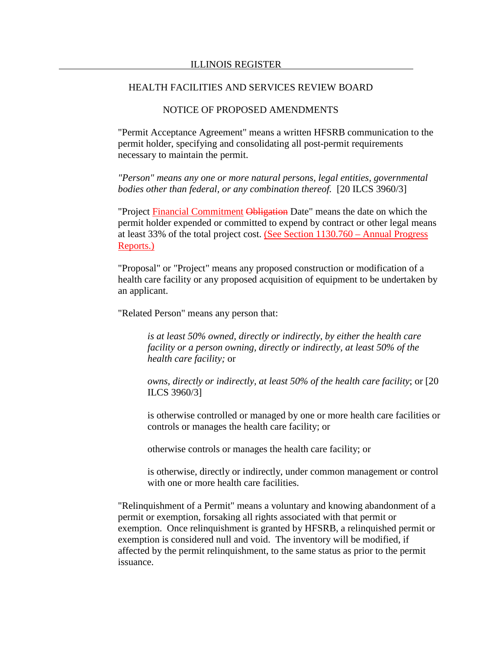### NOTICE OF PROPOSED AMENDMENTS

"Permit Acceptance Agreement" means a written HFSRB communication to the permit holder, specifying and consolidating all post-permit requirements necessary to maintain the permit.

*"Person" means any one or more natural persons, legal entities, governmental bodies other than federal, or any combination thereof.* [20 ILCS 3960/3]

"Project Financial Commitment Obligation Date" means the date on which the permit holder expended or committed to expend by contract or other legal means at least 33% of the total project cost. (See Section 1130.760 – Annual Progress Reports.)

"Proposal" or "Project" means any proposed construction or modification of a health care facility or any proposed acquisition of equipment to be undertaken by an applicant.

"Related Person" means any person that:

*is at least 50% owned, directly or indirectly, by either the health care facility or a person owning, directly or indirectly, at least 50% of the health care facility;* or

*owns, directly or indirectly, at least 50% of the health care facility*; or [20 ILCS 3960/3]

is otherwise controlled or managed by one or more health care facilities or controls or manages the health care facility; or

otherwise controls or manages the health care facility; or

is otherwise, directly or indirectly, under common management or control with one or more health care facilities.

"Relinquishment of a Permit" means a voluntary and knowing abandonment of a permit or exemption, forsaking all rights associated with that permit or exemption. Once relinquishment is granted by HFSRB, a relinquished permit or exemption is considered null and void. The inventory will be modified, if affected by the permit relinquishment, to the same status as prior to the permit issuance.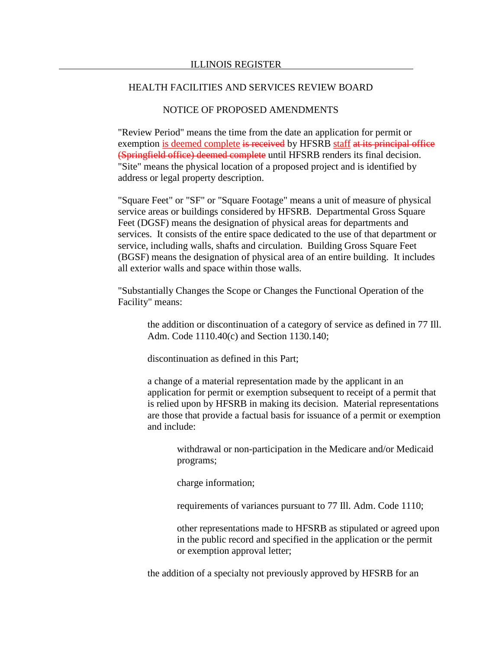## NOTICE OF PROPOSED AMENDMENTS

"Review Period" means the time from the date an application for permit or exemption is deemed complete is received by HFSRB staff at its principal office (Springfield office) deemed complete until HFSRB renders its final decision. "Site" means the physical location of a proposed project and is identified by address or legal property description.

"Square Feet" or "SF" or "Square Footage" means a unit of measure of physical service areas or buildings considered by HFSRB. Departmental Gross Square Feet (DGSF) means the designation of physical areas for departments and services. It consists of the entire space dedicated to the use of that department or service, including walls, shafts and circulation. Building Gross Square Feet (BGSF) means the designation of physical area of an entire building. It includes all exterior walls and space within those walls.

"Substantially Changes the Scope or Changes the Functional Operation of the Facility" means:

the addition or discontinuation of a category of service as defined in 77 Ill. Adm. Code 1110.40(c) and Section 1130.140;

discontinuation as defined in this Part;

a change of a material representation made by the applicant in an application for permit or exemption subsequent to receipt of a permit that is relied upon by HFSRB in making its decision. Material representations are those that provide a factual basis for issuance of a permit or exemption and include:

withdrawal or non-participation in the Medicare and/or Medicaid programs;

charge information;

requirements of variances pursuant to 77 Ill. Adm. Code 1110;

other representations made to HFSRB as stipulated or agreed upon in the public record and specified in the application or the permit or exemption approval letter;

the addition of a specialty not previously approved by HFSRB for an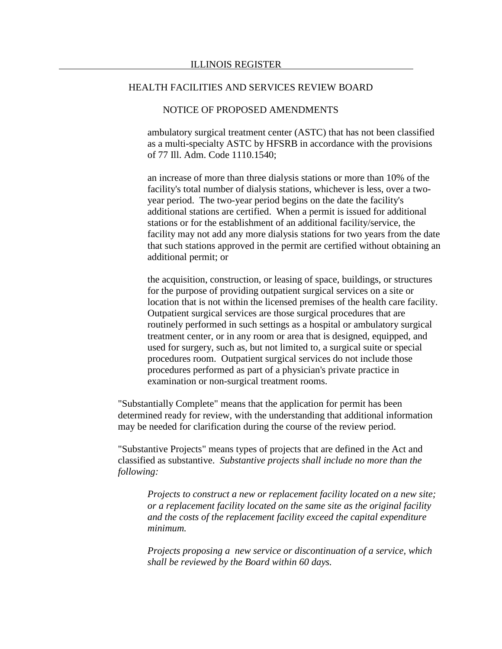### NOTICE OF PROPOSED AMENDMENTS

ambulatory surgical treatment center (ASTC) that has not been classified as a multi-specialty ASTC by HFSRB in accordance with the provisions of 77 Ill. Adm. Code 1110.1540;

an increase of more than three dialysis stations or more than 10% of the facility's total number of dialysis stations, whichever is less, over a twoyear period. The two-year period begins on the date the facility's additional stations are certified. When a permit is issued for additional stations or for the establishment of an additional facility/service, the facility may not add any more dialysis stations for two years from the date that such stations approved in the permit are certified without obtaining an additional permit; or

the acquisition, construction, or leasing of space, buildings, or structures for the purpose of providing outpatient surgical services on a site or location that is not within the licensed premises of the health care facility. Outpatient surgical services are those surgical procedures that are routinely performed in such settings as a hospital or ambulatory surgical treatment center, or in any room or area that is designed, equipped, and used for surgery, such as, but not limited to, a surgical suite or special procedures room. Outpatient surgical services do not include those procedures performed as part of a physician's private practice in examination or non-surgical treatment rooms.

"Substantially Complete" means that the application for permit has been determined ready for review, with the understanding that additional information may be needed for clarification during the course of the review period.

"Substantive Projects" means types of projects that are defined in the Act and classified as substantive. *Substantive projects shall include no more than the following:*

*Projects to construct a new or replacement facility located on a new site; or a replacement facility located on the same site as the original facility and the costs of the replacement facility exceed the capital expenditure minimum.*

*Projects proposing a new service or discontinuation of a service, which shall be reviewed by the Board within 60 days.*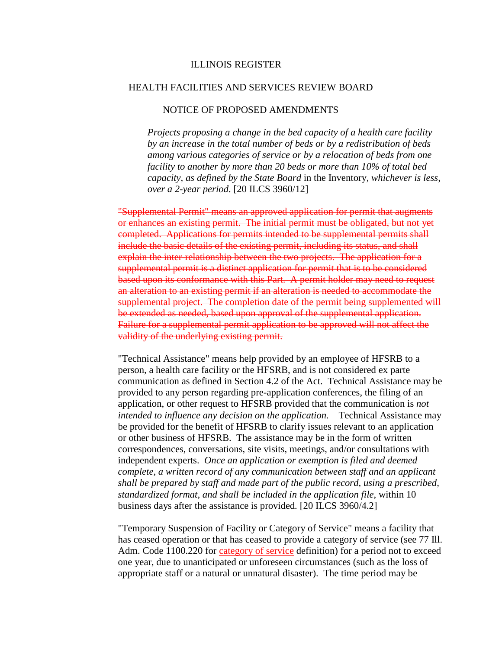## NOTICE OF PROPOSED AMENDMENTS

*Projects proposing a change in the bed capacity of a health care facility by an increase in the total number of beds or by a redistribution of beds among various categories of service or by a relocation of beds from one facility to another by more than 20 beds or more than 10% of total bed capacity, as defined by the State Board* in the Inventory*, whichever is less, over a 2-year period*. [20 ILCS 3960/12]

"Supplemental Permit" means an approved application for permit that augments or enhances an existing permit. The initial permit must be obligated, but not yet completed. Applications for permits intended to be supplemental permits shall include the basic details of the existing permit, including its status, and shall explain the inter-relationship between the two projects. The application for a supplemental permit is a distinct application for permit that is to be considered based upon its conformance with this Part. A permit holder may need to request an alteration to an existing permit if an alteration is needed to accommodate the supplemental project. The completion date of the permit being supplemented will be extended as needed, based upon approval of the supplemental application. Failure for a supplemental permit application to be approved will not affect the validity of the underlying existing permit.

"Technical Assistance" means help provided by an employee of HFSRB to a person, a health care facility or the HFSRB, and is not considered ex parte communication as defined in Section 4.2 of the Act. Technical Assistance may be provided to any person regarding pre-application conferences, the filing of an application, or other request to HFSRB provided that the communication is *not intended to influence any decision on the application.* Technical Assistance may be provided for the benefit of HFSRB to clarify issues relevant to an application or other business of HFSRB. The assistance may be in the form of written correspondences, conversations, site visits, meetings, and/or consultations with independent experts. *Once an application or exemption is filed and deemed complete, a written record of any communication between staff and an applicant shall be prepared by staff and made part of the public record, using a prescribed, standardized format, and shall be included in the application file*, within 10 business days after the assistance is provided*.* [20 ILCS 3960/4.2]

"Temporary Suspension of Facility or Category of Service" means a facility that has ceased operation or that has ceased to provide a category of service (see 77 Ill. Adm. Code 1100.220 for category of service definition) for a period not to exceed one year, due to unanticipated or unforeseen circumstances (such as the loss of appropriate staff or a natural or unnatural disaster). The time period may be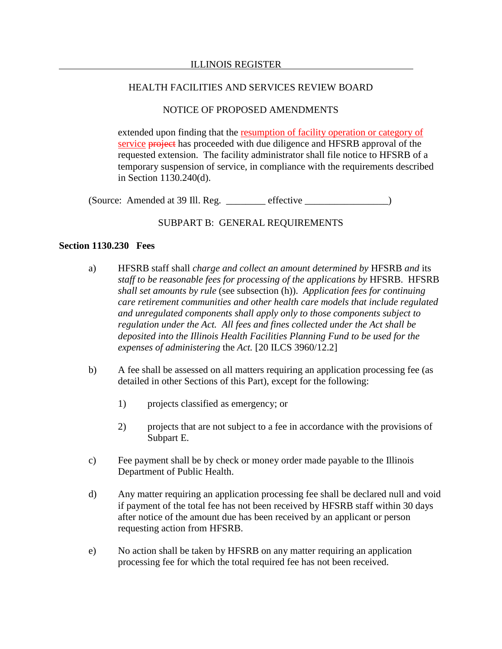# NOTICE OF PROPOSED AMENDMENTS

extended upon finding that the resumption of facility operation or category of service **project** has proceeded with due diligence and HFSRB approval of the requested extension. The facility administrator shall file notice to HFSRB of a temporary suspension of service, in compliance with the requirements described in Section 1130.240(d).

(Source: Amended at 39 Ill. Reg. \_\_\_\_\_\_\_\_ effective \_\_\_\_\_\_\_\_\_\_\_\_\_\_\_\_\_)

# SUBPART B: GENERAL REQUIREMENTS

## **Section 1130.230 Fees**

- a) HFSRB staff shall *charge and collect an amount determined by* HFSRB *and* its *staff to be reasonable fees for processing of the applications by* HFSRB.HFSRB *shall set amounts by rule* (see subsection (h)). *Application fees for continuing care retirement communities and other health care models that include regulated and unregulated components shall apply only to those components subject to regulation under the Act. All fees and fines collected under the Act shall be deposited into the Illinois Health Facilities Planning Fund to be used for the expenses of administering* the *Act.* [20 ILCS 3960/12.2]
- b) A fee shall be assessed on all matters requiring an application processing fee (as detailed in other Sections of this Part), except for the following:
	- 1) projects classified as emergency; or
	- 2) projects that are not subject to a fee in accordance with the provisions of Subpart E.
- c) Fee payment shall be by check or money order made payable to the Illinois Department of Public Health.
- d) Any matter requiring an application processing fee shall be declared null and void if payment of the total fee has not been received by HFSRB staff within 30 days after notice of the amount due has been received by an applicant or person requesting action from HFSRB.
- e) No action shall be taken by HFSRB on any matter requiring an application processing fee for which the total required fee has not been received.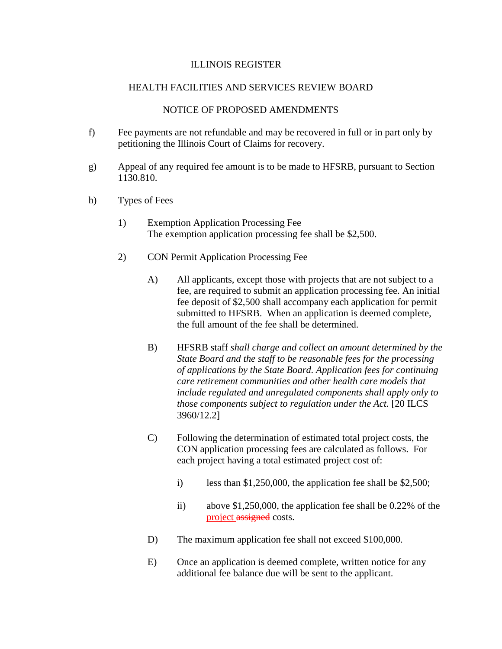### NOTICE OF PROPOSED AMENDMENTS

- f) Fee payments are not refundable and may be recovered in full or in part only by petitioning the Illinois Court of Claims for recovery.
- g) Appeal of any required fee amount is to be made to HFSRB, pursuant to Section 1130.810.
- h) Types of Fees
	- 1) Exemption Application Processing Fee The exemption application processing fee shall be \$2,500.
	- 2) CON Permit Application Processing Fee
		- A) All applicants, except those with projects that are not subject to a fee, are required to submit an application processing fee. An initial fee deposit of \$2,500 shall accompany each application for permit submitted to HFSRB. When an application is deemed complete, the full amount of the fee shall be determined.
		- B) HFSRB staff *shall charge and collect an amount determined by the State Board and the staff to be reasonable fees for the processing of applications by the State Board. Application fees for continuing care retirement communities and other health care models that include regulated and unregulated components shall apply only to those components subject to regulation under the Act.* [20 ILCS 3960/12.2]
		- C) Following the determination of estimated total project costs, the CON application processing fees are calculated as follows. For each project having a total estimated project cost of:
			- i) less than  $$1,250,000$ , the application fee shall be  $$2,500$ ;
			- ii) above \$1,250,000, the application fee shall be 0.22% of the project assigned costs.
		- D) The maximum application fee shall not exceed \$100,000.
		- E) Once an application is deemed complete, written notice for any additional fee balance due will be sent to the applicant.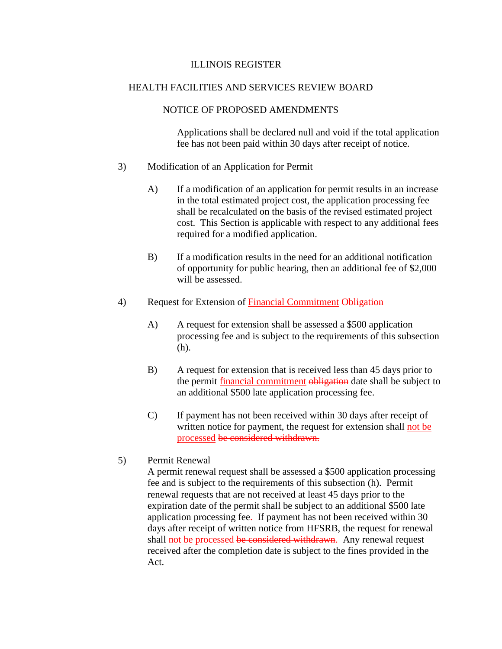## NOTICE OF PROPOSED AMENDMENTS

Applications shall be declared null and void if the total application fee has not been paid within 30 days after receipt of notice.

- 3) Modification of an Application for Permit
	- A) If a modification of an application for permit results in an increase in the total estimated project cost, the application processing fee shall be recalculated on the basis of the revised estimated project cost. This Section is applicable with respect to any additional fees required for a modified application.
	- B) If a modification results in the need for an additional notification of opportunity for public hearing, then an additional fee of \$2,000 will be assessed.
- 4) Request for Extension of Financial Commitment Obligation
	- A) A request for extension shall be assessed a \$500 application processing fee and is subject to the requirements of this subsection (h).
	- B) A request for extension that is received less than 45 days prior to the permit financial commitment obligation date shall be subject to an additional \$500 late application processing fee.
	- C) If payment has not been received within 30 days after receipt of written notice for payment, the request for extension shall not be processed be considered withdrawn.
- 5) Permit Renewal

A permit renewal request shall be assessed a \$500 application processing fee and is subject to the requirements of this subsection (h). Permit renewal requests that are not received at least 45 days prior to the expiration date of the permit shall be subject to an additional \$500 late application processing fee. If payment has not been received within 30 days after receipt of written notice from HFSRB, the request for renewal shall not be processed be considered withdrawn. Any renewal request received after the completion date is subject to the fines provided in the Act.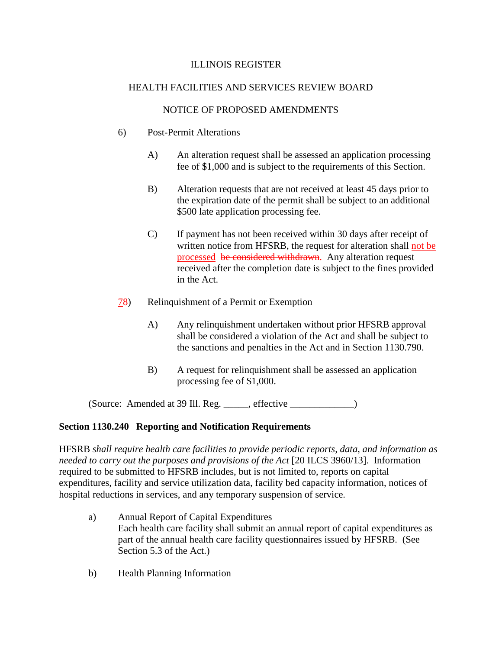# NOTICE OF PROPOSED AMENDMENTS

- 6) Post-Permit Alterations
	- A) An alteration request shall be assessed an application processing fee of \$1,000 and is subject to the requirements of this Section.
	- B) Alteration requests that are not received at least 45 days prior to the expiration date of the permit shall be subject to an additional \$500 late application processing fee.
	- C) If payment has not been received within 30 days after receipt of written notice from HFSRB, the request for alteration shall not be processed be considered withdrawn. Any alteration request received after the completion date is subject to the fines provided in the Act.
- 78) Relinquishment of a Permit or Exemption
	- A) Any relinquishment undertaken without prior HFSRB approval shall be considered a violation of the Act and shall be subject to the sanctions and penalties in the Act and in Section 1130.790.
	- B) A request for relinquishment shall be assessed an application processing fee of \$1,000.

(Source: Amended at 39 Ill. Reg. \_\_\_\_\_, effective \_\_\_\_\_\_\_\_\_\_\_\_\_)

## **Section 1130.240 Reporting and Notification Requirements**

HFSRB *shall require health care facilities to provide periodic reports, data, and information as needed to carry out the purposes and provisions of the Act* [20 ILCS 3960/13]. Information required to be submitted to HFSRB includes, but is not limited to, reports on capital expenditures, facility and service utilization data, facility bed capacity information, notices of hospital reductions in services, and any temporary suspension of service.

- a) Annual Report of Capital Expenditures Each health care facility shall submit an annual report of capital expenditures as part of the annual health care facility questionnaires issued by HFSRB. (See Section 5.3 of the Act.)
- b) Health Planning Information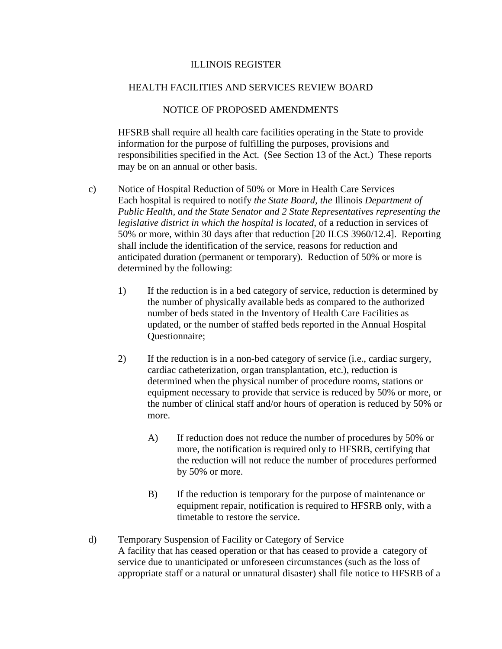### NOTICE OF PROPOSED AMENDMENTS

HFSRB shall require all health care facilities operating in the State to provide information for the purpose of fulfilling the purposes, provisions and responsibilities specified in the Act. (See Section 13 of the Act.) These reports may be on an annual or other basis.

- c) Notice of Hospital Reduction of 50% or More in Health Care Services Each hospital is required to notify *the State Board, the* Illinois *Department of Public Health, and the State Senator and 2 State Representatives representing the legislative district in which the hospital is located*, of a reduction in services of 50% or more, within 30 days after that reduction [20 ILCS 3960/12.4]. Reporting shall include the identification of the service, reasons for reduction and anticipated duration (permanent or temporary). Reduction of 50% or more is determined by the following:
	- 1) If the reduction is in a bed category of service, reduction is determined by the number of physically available beds as compared to the authorized number of beds stated in the Inventory of Health Care Facilities as updated, or the number of staffed beds reported in the Annual Hospital Questionnaire;
	- 2) If the reduction is in a non-bed category of service (i.e., cardiac surgery, cardiac catheterization, organ transplantation, etc.), reduction is determined when the physical number of procedure rooms, stations or equipment necessary to provide that service is reduced by 50% or more, or the number of clinical staff and/or hours of operation is reduced by 50% or more.
		- A) If reduction does not reduce the number of procedures by 50% or more, the notification is required only to HFSRB, certifying that the reduction will not reduce the number of procedures performed by 50% or more.
		- B) If the reduction is temporary for the purpose of maintenance or equipment repair, notification is required to HFSRB only, with a timetable to restore the service.
- d) Temporary Suspension of Facility or Category of Service A facility that has ceased operation or that has ceased to provide a category of service due to unanticipated or unforeseen circumstances (such as the loss of appropriate staff or a natural or unnatural disaster) shall file notice to HFSRB of a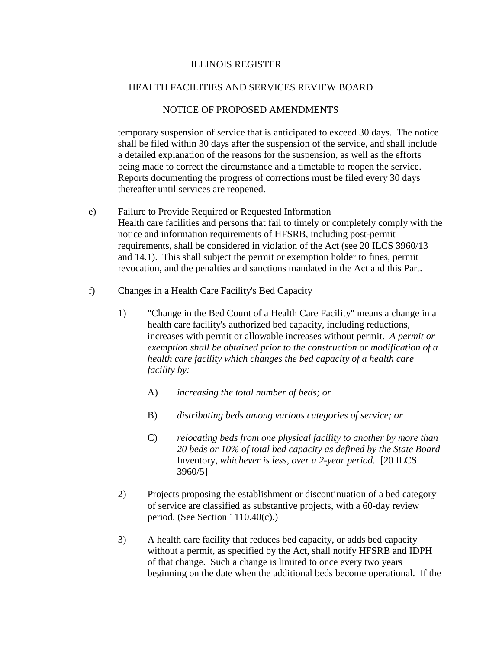## NOTICE OF PROPOSED AMENDMENTS

temporary suspension of service that is anticipated to exceed 30 days. The notice shall be filed within 30 days after the suspension of the service, and shall include a detailed explanation of the reasons for the suspension, as well as the efforts being made to correct the circumstance and a timetable to reopen the service. Reports documenting the progress of corrections must be filed every 30 days thereafter until services are reopened.

- e) Failure to Provide Required or Requested Information Health care facilities and persons that fail to timely or completely comply with the notice and information requirements of HFSRB, including post-permit requirements, shall be considered in violation of the Act (see 20 ILCS 3960/13 and 14.1). This shall subject the permit or exemption holder to fines, permit revocation, and the penalties and sanctions mandated in the Act and this Part.
- f) Changes in a Health Care Facility's Bed Capacity
	- 1) "Change in the Bed Count of a Health Care Facility" means a change in a health care facility's authorized bed capacity, including reductions, increases with permit or allowable increases without permit. *A permit or exemption shall be obtained prior to the construction or modification of a health care facility which changes the bed capacity of a health care facility by:*
		- A) *increasing the total number of beds; or*
		- B) *distributing beds among various categories of service; or*
		- C) *relocating beds from one physical facility to another by more than 20 beds or 10% of total bed capacity as defined by the State Board*  Inventory*, whichever is less, over a 2-year period.* [20 ILCS 3960/5]
	- 2) Projects proposing the establishment or discontinuation of a bed category of service are classified as substantive projects, with a 60-day review period. (See Section  $1110.40(c)$ .)
	- 3) A health care facility that reduces bed capacity, or adds bed capacity without a permit, as specified by the Act, shall notify HFSRB and IDPH of that change. Such a change is limited to once every two years beginning on the date when the additional beds become operational. If the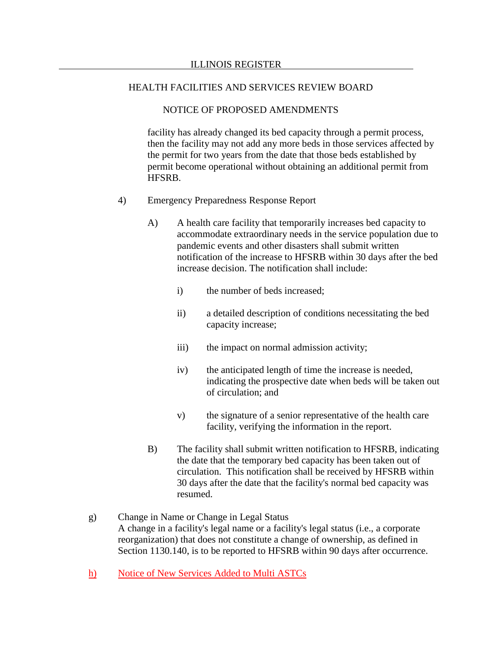### NOTICE OF PROPOSED AMENDMENTS

facility has already changed its bed capacity through a permit process, then the facility may not add any more beds in those services affected by the permit for two years from the date that those beds established by permit become operational without obtaining an additional permit from HFSRB.

- 4) Emergency Preparedness Response Report
	- A) A health care facility that temporarily increases bed capacity to accommodate extraordinary needs in the service population due to pandemic events and other disasters shall submit written notification of the increase to HFSRB within 30 days after the bed increase decision. The notification shall include:
		- i) the number of beds increased;
		- ii) a detailed description of conditions necessitating the bed capacity increase;
		- iii) the impact on normal admission activity;
		- iv) the anticipated length of time the increase is needed, indicating the prospective date when beds will be taken out of circulation; and
		- v) the signature of a senior representative of the health care facility, verifying the information in the report.
	- B) The facility shall submit written notification to HFSRB, indicating the date that the temporary bed capacity has been taken out of circulation. This notification shall be received by HFSRB within 30 days after the date that the facility's normal bed capacity was resumed.
- g) Change in Name or Change in Legal Status A change in a facility's legal name or a facility's legal status (i.e., a corporate reorganization) that does not constitute a change of ownership, as defined in Section 1130.140, is to be reported to HFSRB within 90 days after occurrence.
- h) Notice of New Services Added to Multi ASTCs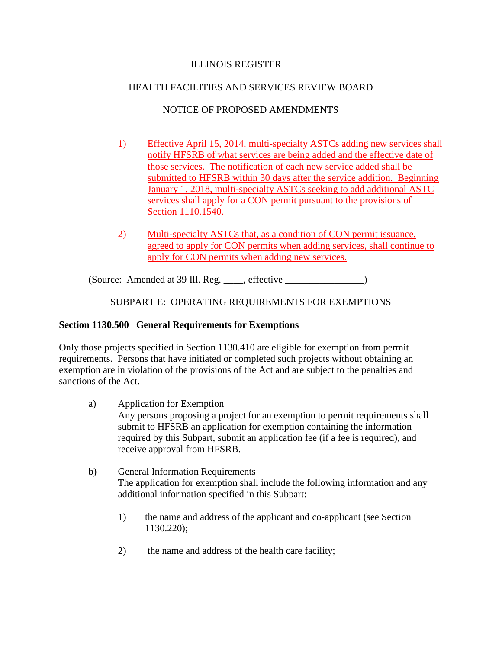# NOTICE OF PROPOSED AMENDMENTS

- 1) Effective April 15, 2014, multi-specialty ASTCs adding new services shall notify HFSRB of what services are being added and the effective date of those services. The notification of each new service added shall be submitted to HFSRB within 30 days after the service addition. Beginning January 1, 2018, multi-specialty ASTCs seeking to add additional ASTC services shall apply for a CON permit pursuant to the provisions of Section 1110.1540.
- 2) Multi-specialty ASTCs that, as a condition of CON permit issuance, agreed to apply for CON permits when adding services, shall continue to apply for CON permits when adding new services.

(Source: Amended at 39 Ill. Reg. \_\_\_\_, effective \_\_\_\_\_\_\_\_\_\_\_\_\_\_\_\_)

# SUBPART E: OPERATING REQUIREMENTS FOR EXEMPTIONS

# **Section 1130.500 General Requirements for Exemptions**

Only those projects specified in Section 1130.410 are eligible for exemption from permit requirements. Persons that have initiated or completed such projects without obtaining an exemption are in violation of the provisions of the Act and are subject to the penalties and sanctions of the Act.

- a) Application for Exemption Any persons proposing a project for an exemption to permit requirements shall submit to HFSRB an application for exemption containing the information required by this Subpart, submit an application fee (if a fee is required), and receive approval from HFSRB.
- b) General Information Requirements The application for exemption shall include the following information and any additional information specified in this Subpart:
	- 1) the name and address of the applicant and co-applicant (see Section 1130.220);
	- 2) the name and address of the health care facility;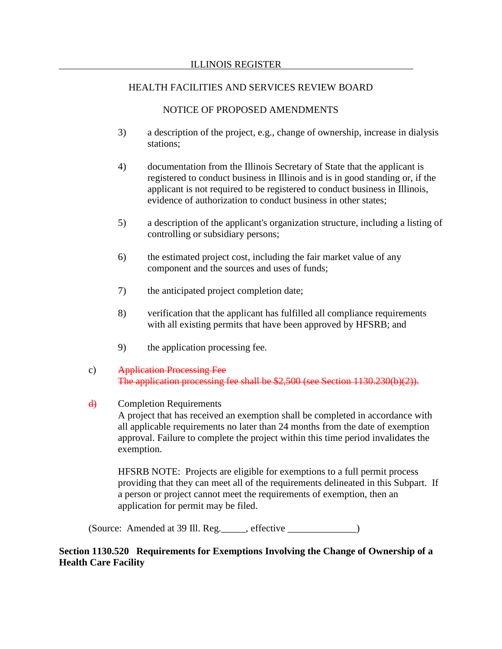### NOTICE OF PROPOSED AMENDMENTS

- 3) a description of the project, e.g., change of ownership, increase in dialysis stations;
- 4) documentation from the Illinois Secretary of State that the applicant is registered to conduct business in Illinois and is in good standing or, if the applicant is not required to be registered to conduct business in Illinois, evidence of authorization to conduct business in other states;
- 5) a description of the applicant's organization structure, including a listing of controlling or subsidiary persons;
- 6) the estimated project cost, including the fair market value of any component and the sources and uses of funds;
- 7) the anticipated project completion date;
- 8) verification that the applicant has fulfilled all compliance requirements with all existing permits that have been approved by HFSRB; and
- 9) the application processing fee.
- c) Application Processing Fee The application processing fee shall be \$2,500 (see Section 1130.230(b)(2)).
- d) Completion Requirements

A project that has received an exemption shall be completed in accordance with all applicable requirements no later than 24 months from the date of exemption approval. Failure to complete the project within this time period invalidates the exemption.

HFSRB NOTE: Projects are eligible for exemptions to a full permit process providing that they can meet all of the requirements delineated in this Subpart. If a person or project cannot meet the requirements of exemption, then an application for permit may be filed.

(Source: Amended at 39 Ill. Reg.\_\_\_\_\_, effective \_\_\_\_\_\_\_\_\_\_\_\_\_\_)

## **Section 1130.520 Requirements for Exemptions Involving the Change of Ownership of a Health Care Facility**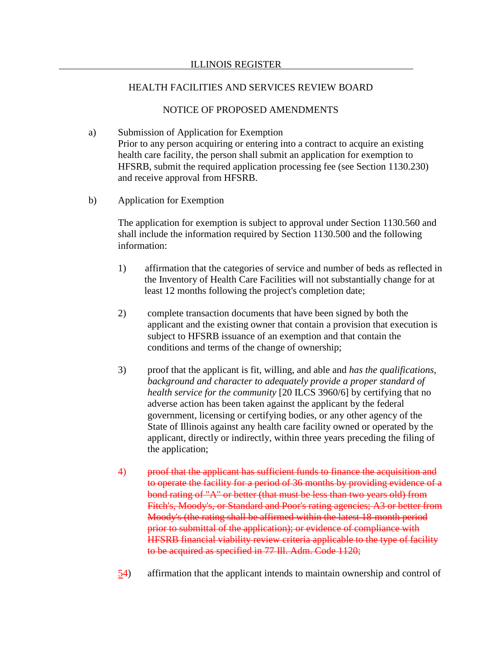### NOTICE OF PROPOSED AMENDMENTS

- a) Submission of Application for Exemption Prior to any person acquiring or entering into a contract to acquire an existing health care facility, the person shall submit an application for exemption to HFSRB, submit the required application processing fee (see Section 1130.230) and receive approval from HFSRB.
- b) Application for Exemption

The application for exemption is subject to approval under Section 1130.560 and shall include the information required by Section 1130.500 and the following information:

- 1) affirmation that the categories of service and number of beds as reflected in the Inventory of Health Care Facilities will not substantially change for at least 12 months following the project's completion date;
- 2) complete transaction documents that have been signed by both the applicant and the existing owner that contain a provision that execution is subject to HFSRB issuance of an exemption and that contain the conditions and terms of the change of ownership;
- 3) proof that the applicant is fit, willing, and able and *has the qualifications, background and character to adequately provide a proper standard of health service for the community* [20 ILCS 3960/6] by certifying that no adverse action has been taken against the applicant by the federal government, licensing or certifying bodies, or any other agency of the State of Illinois against any health care facility owned or operated by the applicant, directly or indirectly, within three years preceding the filing of the application;
- 4) proof that the applicant has sufficient funds to finance the acquisition and to operate the facility for a period of 36 months by providing evidence of a bond rating of "A" or better (that must be less than two years old) from Fitch's, Moody's, or Standard and Poor's rating agencies; A3 or better from Moody's (the rating shall be affirmed within the latest 18-month period prior to submittal of the application); or evidence of compliance with HFSRB financial viability review criteria applicable to the type of facility to be acquired as specified in 77 Ill. Adm. Code 1120;
- 54) affirmation that the applicant intends to maintain ownership and control of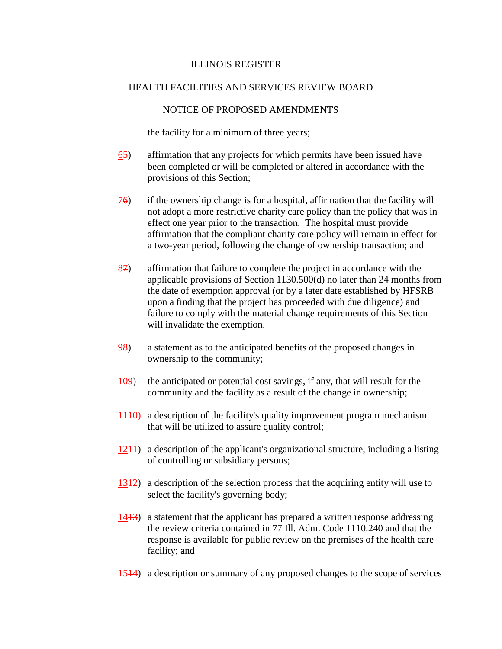## NOTICE OF PROPOSED AMENDMENTS

the facility for a minimum of three years;

- 65) affirmation that any projects for which permits have been issued have been completed or will be completed or altered in accordance with the provisions of this Section;
- 76) if the ownership change is for a hospital, affirmation that the facility will not adopt a more restrictive charity care policy than the policy that was in effect one year prior to the transaction. The hospital must provide affirmation that the compliant charity care policy will remain in effect for a two-year period, following the change of ownership transaction; and
- $87$  affirmation that failure to complete the project in accordance with the applicable provisions of Section 1130.500(d) no later than 24 months from the date of exemption approval (or by a later date established by HFSRB upon a finding that the project has proceeded with due diligence) and failure to comply with the material change requirements of this Section will invalidate the exemption.
- 98) a statement as to the anticipated benefits of the proposed changes in ownership to the community;
- 109) the anticipated or potential cost savings, if any, that will result for the community and the facility as a result of the change in ownership;
- $1110$ ) a description of the facility's quality improvement program mechanism that will be utilized to assure quality control;
- $1241$ ) a description of the applicant's organizational structure, including a listing of controlling or subsidiary persons;
- 1312) a description of the selection process that the acquiring entity will use to select the facility's governing body;
- 1413) a statement that the applicant has prepared a written response addressing the review criteria contained in 77 Ill. Adm. Code 1110.240 and that the response is available for public review on the premises of the health care facility; and
- 1514) a description or summary of any proposed changes to the scope of services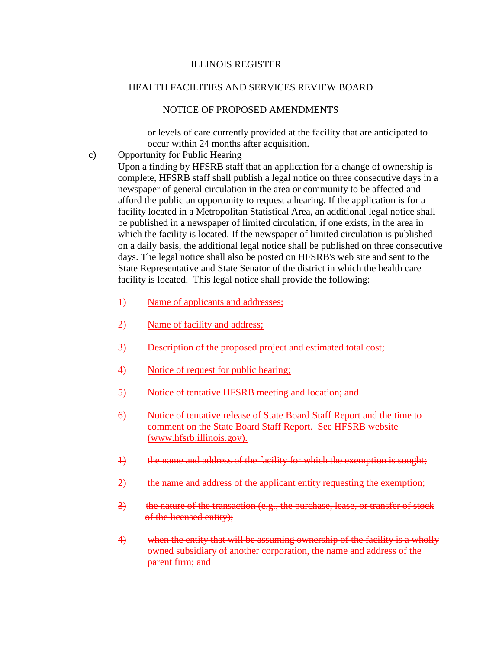## NOTICE OF PROPOSED AMENDMENTS

or levels of care currently provided at the facility that are anticipated to occur within 24 months after acquisition.

c) Opportunity for Public Hearing

Upon a finding by HFSRB staff that an application for a change of ownership is complete, HFSRB staff shall publish a legal notice on three consecutive days in a newspaper of general circulation in the area or community to be affected and afford the public an opportunity to request a hearing. If the application is for a facility located in a Metropolitan Statistical Area, an additional legal notice shall be published in a newspaper of limited circulation, if one exists, in the area in which the facility is located. If the newspaper of limited circulation is published on a daily basis, the additional legal notice shall be published on three consecutive days. The legal notice shall also be posted on HFSRB's web site and sent to the State Representative and State Senator of the district in which the health care facility is located. This legal notice shall provide the following:

- 1) Name of applicants and addresses;
- 2) Name of facility and address;
- 3) Description of the proposed project and estimated total cost;
- 4) Notice of request for public hearing;
- 5) Notice of tentative HFSRB meeting and location; and
- 6) Notice of tentative release of State Board Staff Report and the time to comment on the State Board Staff Report. See HFSRB website (www.hfsrb.illinois.gov).
- 1) the name and address of the facility for which the exemption is sought;
- 2) the name and address of the applicant entity requesting the exemption;
- 3) the nature of the transaction (e.g., the purchase, lease, or transfer of stock of the licensed entity);
- 4) when the entity that will be assuming ownership of the facility is a wholly owned subsidiary of another corporation, the name and address of the parent firm; and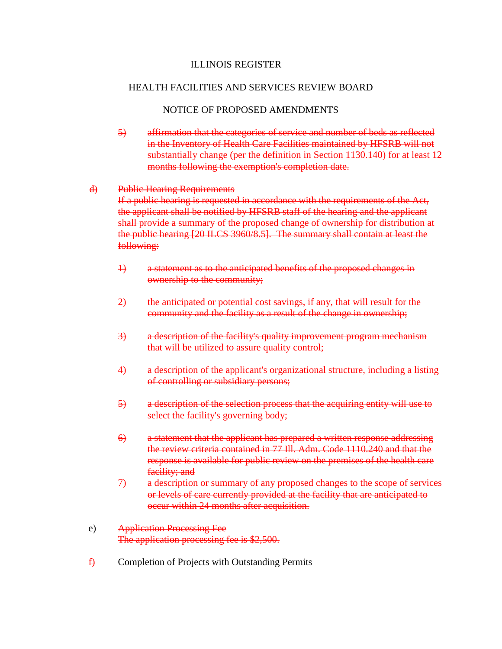## NOTICE OF PROPOSED AMENDMENTS

- 5) affirmation that the categories of service and number of beds as reflected in the Inventory of Health Care Facilities maintained by HFSRB will not substantially change (per the definition in Section 1130.140) for at least 12 months following the exemption's completion date.
- d) Public Hearing Requirements If a public hearing is requested in accordance with the requirements of the Act, the applicant shall be notified by HFSRB staff of the hearing and the applicant shall provide a summary of the proposed change of ownership for distribution at the public hearing [20 ILCS 3960/8.5]. The summary shall contain at least the following:
	- 1) a statement as to the anticipated benefits of the proposed changes in ownership to the community;
	- 2) the anticipated or potential cost savings, if any, that will result for the community and the facility as a result of the change in ownership;
	- 3) a description of the facility's quality improvement program mechanism that will be utilized to assure quality control;
	- 4) a description of the applicant's organizational structure, including a listing of controlling or subsidiary persons;
	- 5) a description of the selection process that the acquiring entity will use to select the facility's governing body;
	- 6) a statement that the applicant has prepared a written response addressing the review criteria contained in 77 Ill. Adm. Code 1110.240 and that the response is available for public review on the premises of the health care facility; and
	- 7) a description or summary of any proposed changes to the scope of services or levels of care currently provided at the facility that are anticipated to occur within 24 months after acquisition.
- e) Application Processing Fee The application processing fee is \$2,500.
- $\oplus$  Completion of Projects with Outstanding Permits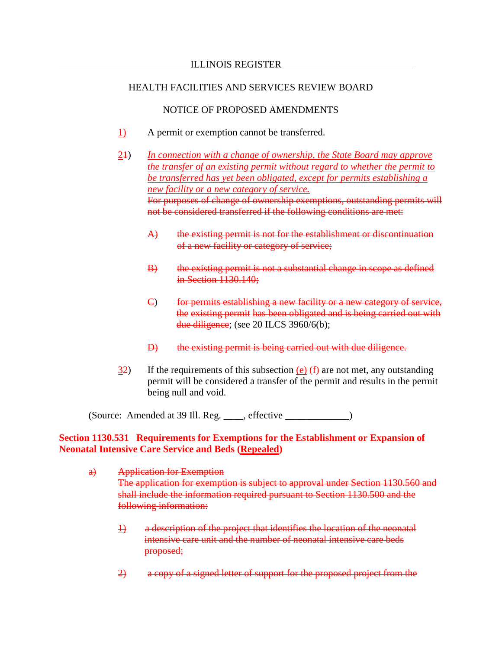## NOTICE OF PROPOSED AMENDMENTS

- 1) A permit or exemption cannot be transferred.
- 21) *In connection with a change of ownership, the State Board may approve the transfer of an existing permit without regard to whether the permit to be transferred has yet been obligated, except for permits establishing a new facility or a new category of service.* For purposes of change of ownership exemptions, outstanding permits will not be considered transferred if the following conditions are met:
	- A) the existing permit is not for the establishment or discontinuation of a new facility or category of service;
	- B) the existing permit is not a substantial change in scope as defined in Section 1130.140;
	- C) for permits establishing a new facility or a new category of service, the existing permit has been obligated and is being carried out with due diligence; (see 20 ILCS 3960/6(b);
	- D) the existing permit is being carried out with due diligence.
- 32) If the requirements of this subsection (e)  $(f)$  are not met, any outstanding permit will be considered a transfer of the permit and results in the permit being null and void.

(Source: Amended at 39 Ill. Reg. \_\_\_\_, effective \_\_\_\_\_\_\_\_\_\_\_\_\_)

# **Section 1130.531 Requirements for Exemptions for the Establishment or Expansion of Neonatal Intensive Care Service and Beds (Repealed)**

- a) Application for Exemption The application for exemption is subject to approval under Section 1130.560 and shall include the information required pursuant to Section 1130.500 and the following information:
	- 1) a description of the project that identifies the location of the neonatal intensive care unit and the number of neonatal intensive care beds proposed;
	- 2) a copy of a signed letter of support for the proposed project from the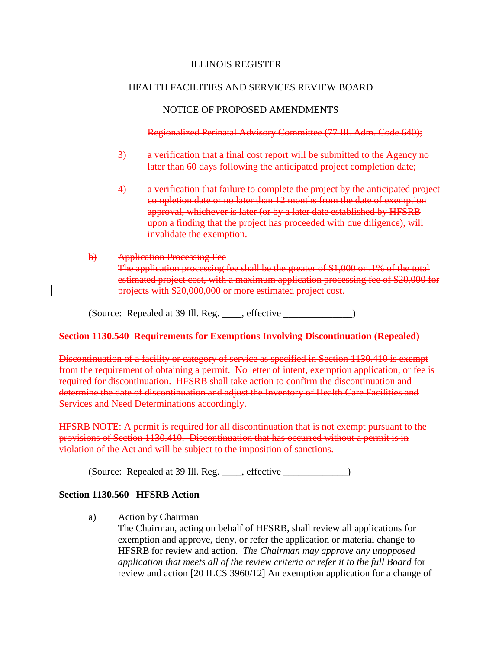NOTICE OF PROPOSED AMENDMENTS

Regionalized Perinatal Advisory Committee (77 Ill. Adm. Code 640);

- 3) a verification that a final cost report will be submitted to the Agency no later than 60 days following the anticipated project completion date;
- 4) a verification that failure to complete the project by the anticipated project completion date or no later than 12 months from the date of exemption approval, whichever is later (or by a later date established by HFSRB upon a finding that the project has proceeded with due diligence), will invalidate the exemption.
- b) Application Processing Fee The application processing fee shall be the greater of \$1,000 or .1% of the total estimated project cost, with a maximum application processing fee of \$20,000 for projects with \$20,000,000 or more estimated project cost.

(Source: Repealed at 39 Ill. Reg. \_\_\_\_, effective \_\_\_\_\_\_\_\_\_\_\_\_\_\_)

## **Section 1130.540 Requirements for Exemptions Involving Discontinuation (Repealed)**

Discontinuation of a facility or category of service as specified in Section 1130.410 is exempt from the requirement of obtaining a permit. No letter of intent, exemption application, or fee is required for discontinuation. HFSRB shall take action to confirm the discontinuation and determine the date of discontinuation and adjust the Inventory of Health Care Facilities and Services and Need Determinations accordingly.

HFSRB NOTE: A permit is required for all discontinuation that is not exempt pursuant to the provisions of Section 1130.410. Discontinuation that has occurred without a permit is in violation of the Act and will be subject to the imposition of sanctions.

(Source: Repealed at 39 Ill. Reg. \_\_\_\_, effective \_\_\_\_\_\_\_\_\_\_\_\_\_)

## **Section 1130.560 HFSRB Action**

a) Action by Chairman

The Chairman, acting on behalf of HFSRB, shall review all applications for exemption and approve, deny, or refer the application or material change to HFSRB for review and action. *The Chairman may approve any unopposed application that meets all of the review criteria or refer it to the full Board* for review and action [20 ILCS 3960/12] An exemption application for a change of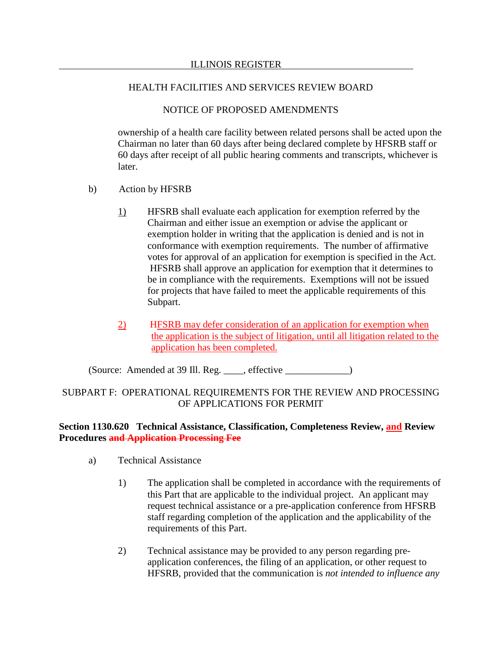# NOTICE OF PROPOSED AMENDMENTS

ownership of a health care facility between related persons shall be acted upon the Chairman no later than 60 days after being declared complete by HFSRB staff or 60 days after receipt of all public hearing comments and transcripts, whichever is later.

- b) Action by HFSRB
	- 1) HFSRB shall evaluate each application for exemption referred by the Chairman and either issue an exemption or advise the applicant or exemption holder in writing that the application is denied and is not in conformance with exemption requirements. The number of affirmative votes for approval of an application for exemption is specified in the Act. HFSRB shall approve an application for exemption that it determines to be in compliance with the requirements. Exemptions will not be issued for projects that have failed to meet the applicable requirements of this Subpart.
	- 2) HFSRB may defer consideration of an application for exemption when the application is the subject of litigation, until all litigation related to the application has been completed.

(Source: Amended at 39 Ill. Reg. \_\_\_\_, effective \_\_\_\_\_\_\_\_\_\_\_\_\_)

# SUBPART F: OPERATIONAL REQUIREMENTS FOR THE REVIEW AND PROCESSING OF APPLICATIONS FOR PERMIT

# **Section 1130.620 Technical Assistance, Classification, Completeness Review, and Review Procedures and Application Processing Fee**

- a) Technical Assistance
	- 1) The application shall be completed in accordance with the requirements of this Part that are applicable to the individual project. An applicant may request technical assistance or a pre-application conference from HFSRB staff regarding completion of the application and the applicability of the requirements of this Part.
	- 2) Technical assistance may be provided to any person regarding preapplication conferences, the filing of an application, or other request to HFSRB, provided that the communication is *not intended to influence any*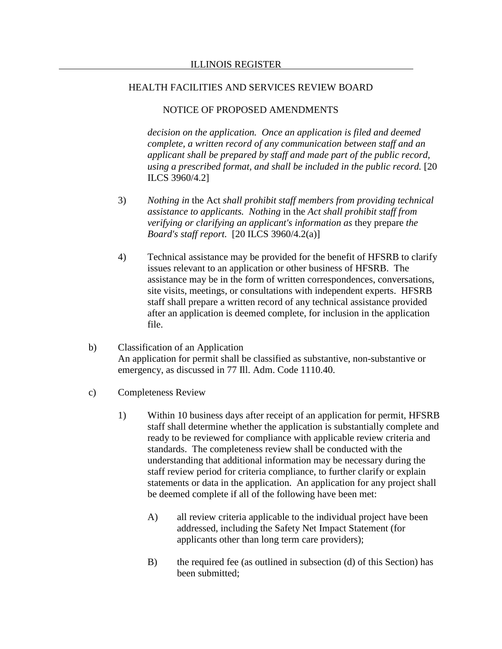## NOTICE OF PROPOSED AMENDMENTS

*decision on the application. Once an application is filed and deemed complete, a written record of any communication between staff and an applicant shall be prepared by staff and made part of the public record, using a prescribed format, and shall be included in the public record.* [20 ILCS 3960/4.2]

- 3) *Nothing in* the Act *shall prohibit staff members from providing technical assistance to applicants. Nothing* in the *Act shall prohibit staff from verifying or clarifying an applicant's information as* they prepare *the Board's staff report.* [20 ILCS 3960/4.2(a)]
- 4) Technical assistance may be provided for the benefit of HFSRB to clarify issues relevant to an application or other business of HFSRB. The assistance may be in the form of written correspondences, conversations, site visits, meetings, or consultations with independent experts. HFSRB staff shall prepare a written record of any technical assistance provided after an application is deemed complete, for inclusion in the application file.
- b) Classification of an Application An application for permit shall be classified as substantive, non-substantive or emergency, as discussed in 77 Ill. Adm. Code 1110.40.
- c) Completeness Review
	- 1) Within 10 business days after receipt of an application for permit, HFSRB staff shall determine whether the application is substantially complete and ready to be reviewed for compliance with applicable review criteria and standards. The completeness review shall be conducted with the understanding that additional information may be necessary during the staff review period for criteria compliance, to further clarify or explain statements or data in the application. An application for any project shall be deemed complete if all of the following have been met:
		- A) all review criteria applicable to the individual project have been addressed, including the Safety Net Impact Statement (for applicants other than long term care providers);
		- B) the required fee (as outlined in subsection (d) of this Section) has been submitted;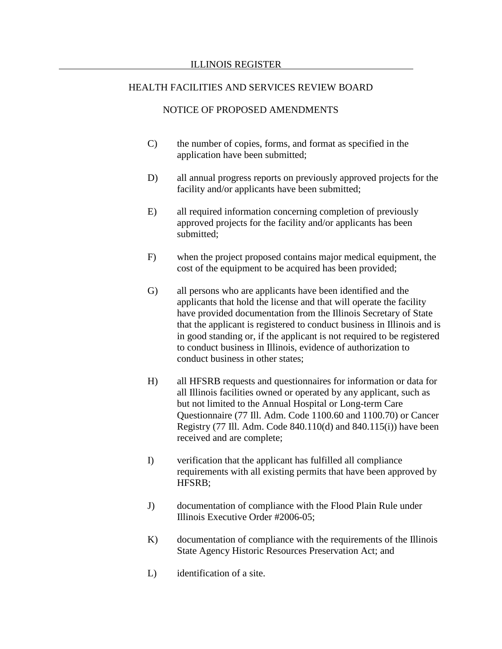## NOTICE OF PROPOSED AMENDMENTS

- C) the number of copies, forms, and format as specified in the application have been submitted;
- D) all annual progress reports on previously approved projects for the facility and/or applicants have been submitted;
- E) all required information concerning completion of previously approved projects for the facility and/or applicants has been submitted;
- F) when the project proposed contains major medical equipment, the cost of the equipment to be acquired has been provided;
- G) all persons who are applicants have been identified and the applicants that hold the license and that will operate the facility have provided documentation from the Illinois Secretary of State that the applicant is registered to conduct business in Illinois and is in good standing or, if the applicant is not required to be registered to conduct business in Illinois, evidence of authorization to conduct business in other states;
- H) all HFSRB requests and questionnaires for information or data for all Illinois facilities owned or operated by any applicant, such as but not limited to the Annual Hospital or Long-term Care Questionnaire (77 Ill. Adm. Code 1100.60 and 1100.70) or Cancer Registry (77 Ill. Adm. Code 840.110(d) and 840.115(i)) have been received and are complete;
- I) verification that the applicant has fulfilled all compliance requirements with all existing permits that have been approved by HFSRB;
- J) documentation of compliance with the Flood Plain Rule under Illinois Executive Order #2006-05;
- K) documentation of compliance with the requirements of the Illinois State Agency Historic Resources Preservation Act; and
- L) identification of a site.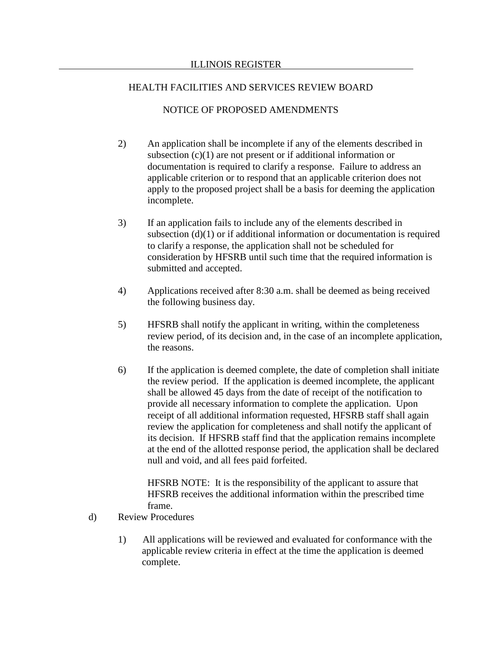## NOTICE OF PROPOSED AMENDMENTS

- 2) An application shall be incomplete if any of the elements described in subsection  $(c)(1)$  are not present or if additional information or documentation is required to clarify a response. Failure to address an applicable criterion or to respond that an applicable criterion does not apply to the proposed project shall be a basis for deeming the application incomplete.
- 3) If an application fails to include any of the elements described in subsection (d)(1) or if additional information or documentation is required to clarify a response, the application shall not be scheduled for consideration by HFSRB until such time that the required information is submitted and accepted.
- 4) Applications received after 8:30 a.m. shall be deemed as being received the following business day.
- 5) HFSRB shall notify the applicant in writing, within the completeness review period, of its decision and, in the case of an incomplete application, the reasons.
- 6) If the application is deemed complete, the date of completion shall initiate the review period. If the application is deemed incomplete, the applicant shall be allowed 45 days from the date of receipt of the notification to provide all necessary information to complete the application. Upon receipt of all additional information requested, HFSRB staff shall again review the application for completeness and shall notify the applicant of its decision. If HFSRB staff find that the application remains incomplete at the end of the allotted response period, the application shall be declared null and void, and all fees paid forfeited.

HFSRB NOTE: It is the responsibility of the applicant to assure that HFSRB receives the additional information within the prescribed time frame.

- d) Review Procedures
	- 1) All applications will be reviewed and evaluated for conformance with the applicable review criteria in effect at the time the application is deemed complete.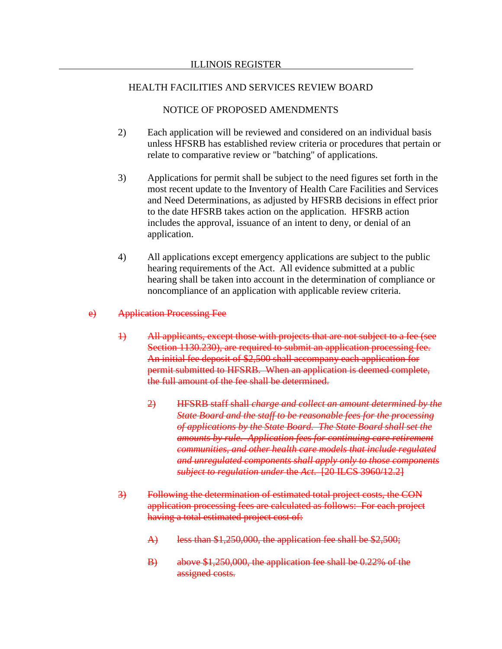# NOTICE OF PROPOSED AMENDMENTS

- 2) Each application will be reviewed and considered on an individual basis unless HFSRB has established review criteria or procedures that pertain or relate to comparative review or "batching" of applications.
- 3) Applications for permit shall be subject to the need figures set forth in the most recent update to the Inventory of Health Care Facilities and Services and Need Determinations, as adjusted by HFSRB decisions in effect prior to the date HFSRB takes action on the application. HFSRB action includes the approval, issuance of an intent to deny, or denial of an application.
- 4) All applications except emergency applications are subject to the public hearing requirements of the Act. All evidence submitted at a public hearing shall be taken into account in the determination of compliance or noncompliance of an application with applicable review criteria.

## e) Application Processing Fee

- 1) All applicants, except those with projects that are not subject to a fee (see Section 1130.230), are required to submit an application processing fee. An initial fee deposit of \$2,500 shall accompany each application for permit submitted to HFSRB. When an application is deemed complete, the full amount of the fee shall be determined.
	- 2) HFSRB staff shall *charge and collect an amount determined by the State Board and the staff to be reasonable fees for the processing of applications by the State Board. The State Board shall set the amounts by rule. Application fees for continuing care retirement communities, and other health care models that include regulated and unregulated components shall apply only to those components subject to regulation under* the *Act*. [20 ILCS 3960/12.2]
- 3) Following the determination of estimated total project costs, the CON application processing fees are calculated as follows: For each project having a total estimated project cost of:
	- A) less than \$1,250,000, the application fee shall be \$2,500;
	- B) above \$1,250,000, the application fee shall be 0.22% of the assigned costs.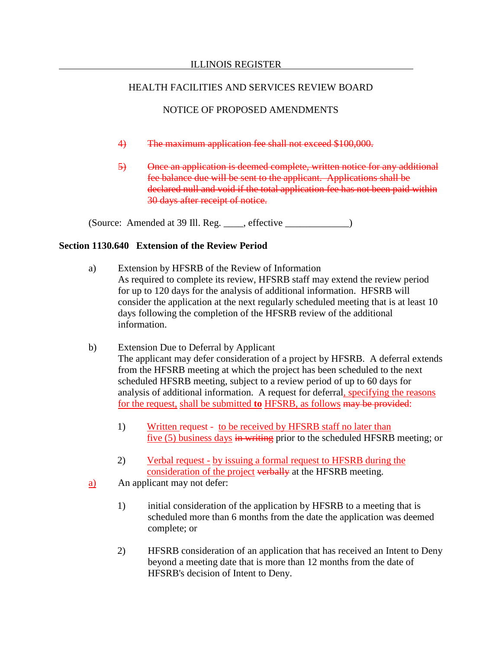# NOTICE OF PROPOSED AMENDMENTS

- 4) The maximum application fee shall not exceed \$100,000.
- 5) Once an application is deemed complete, written notice for any additional fee balance due will be sent to the applicant. Applications shall be declared null and void if the total application fee has not been paid within 30 days after receipt of notice.

(Source: Amended at 39 Ill. Reg. \_\_\_\_, effective \_\_\_\_\_\_\_\_\_\_\_\_\_)

## **Section 1130.640 Extension of the Review Period**

- a) Extension by HFSRB of the Review of Information As required to complete its review, HFSRB staff may extend the review period for up to 120 days for the analysis of additional information. HFSRB will consider the application at the next regularly scheduled meeting that is at least 10 days following the completion of the HFSRB review of the additional information.
- b) Extension Due to Deferral by Applicant The applicant may defer consideration of a project by HFSRB. A deferral extends from the HFSRB meeting at which the project has been scheduled to the next scheduled HFSRB meeting, subject to a review period of up to 60 days for analysis of additional information. A request for deferral, specifying the reasons for the request, shall be submitted **to** HFSRB, as follows may be provided:
	- 1) Written request to be received by HFSRB staff no later than five (5) business days in writing prior to the scheduled HFSRB meeting; or
	- 2) Verbal request by issuing a formal request to HFSRB during the consideration of the project verbally at the HFSRB meeting.
- a) An applicant may not defer:
	- 1) initial consideration of the application by HFSRB to a meeting that is scheduled more than 6 months from the date the application was deemed complete; or
	- 2) HFSRB consideration of an application that has received an Intent to Deny beyond a meeting date that is more than 12 months from the date of HFSRB's decision of Intent to Deny.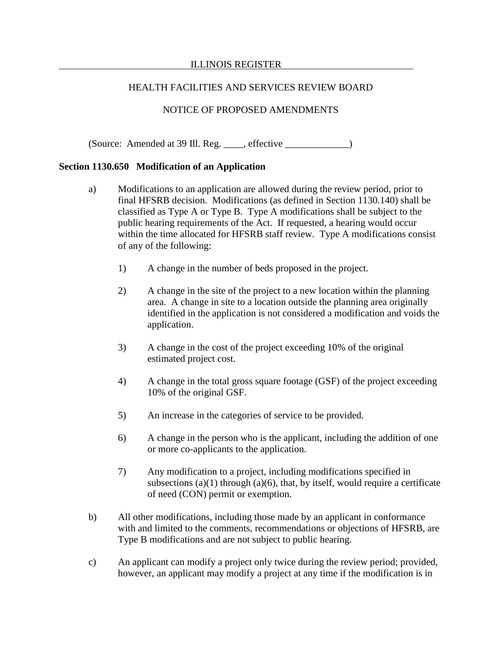### ILLINOIS REGISTER

# HEALTH FACILITIES AND SERVICES REVIEW BOARD

# NOTICE OF PROPOSED AMENDMENTS

(Source: Amended at 39 Ill. Reg. \_\_\_\_, effective \_\_\_\_\_\_\_\_\_\_\_\_\_)

### **Section 1130.650 Modification of an Application**

- a) Modifications to an application are allowed during the review period, prior to final HFSRB decision. Modifications (as defined in Section 1130.140) shall be classified as Type A or Type B. Type A modifications shall be subject to the public hearing requirements of the Act. If requested, a hearing would occur within the time allocated for HFSRB staff review. Type A modifications consist of any of the following:
	- 1) A change in the number of beds proposed in the project.
	- 2) A change in the site of the project to a new location within the planning area. A change in site to a location outside the planning area originally identified in the application is not considered a modification and voids the application.
	- 3) A change in the cost of the project exceeding 10% of the original estimated project cost.
	- 4) A change in the total gross square footage (GSF) of the project exceeding 10% of the original GSF.
	- 5) An increase in the categories of service to be provided.
	- 6) A change in the person who is the applicant, including the addition of one or more co-applicants to the application.
	- 7) Any modification to a project, including modifications specified in subsections  $(a)(1)$  through  $(a)(6)$ , that, by itself, would require a certificate of need (CON) permit or exemption.
- b) All other modifications, including those made by an applicant in conformance with and limited to the comments, recommendations or objections of HFSRB, are Type B modifications and are not subject to public hearing.
- c) An applicant can modify a project only twice during the review period; provided, however, an applicant may modify a project at any time if the modification is in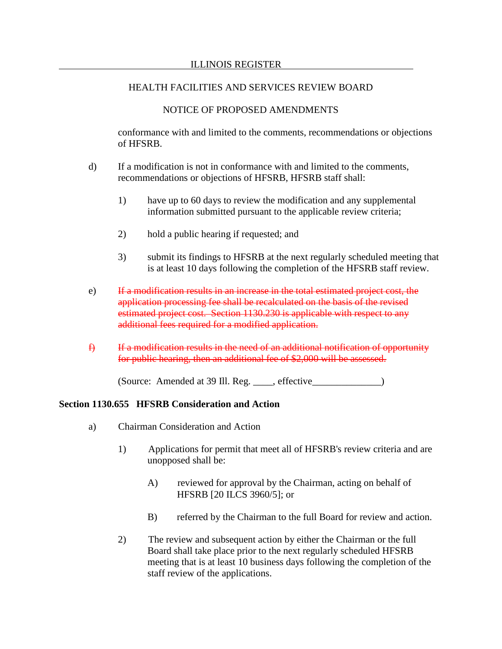## NOTICE OF PROPOSED AMENDMENTS

conformance with and limited to the comments, recommendations or objections of HFSRB.

- d) If a modification is not in conformance with and limited to the comments, recommendations or objections of HFSRB, HFSRB staff shall:
	- 1) have up to 60 days to review the modification and any supplemental information submitted pursuant to the applicable review criteria;
	- 2) hold a public hearing if requested; and
	- 3) submit its findings to HFSRB at the next regularly scheduled meeting that is at least 10 days following the completion of the HFSRB staff review.
- e) If a modification results in an increase in the total estimated project cost, the application processing fee shall be recalculated on the basis of the revised estimated project cost. Section 1130.230 is applicable with respect to any additional fees required for a modified application.
- $f$  If a modification results in the need of an additional notification of opportunity for public hearing, then an additional fee of \$2,000 will be assessed.

(Source: Amended at 39 Ill. Reg. \_\_\_\_, effective\_\_\_\_\_\_\_\_\_\_\_\_\_\_)

### **Section 1130.655 HFSRB Consideration and Action**

- a) Chairman Consideration and Action
	- 1) Applications for permit that meet all of HFSRB's review criteria and are unopposed shall be:
		- A) reviewed for approval by the Chairman, acting on behalf of HFSRB [20 ILCS 3960/5]; or
		- B) referred by the Chairman to the full Board for review and action.
	- 2) The review and subsequent action by either the Chairman or the full Board shall take place prior to the next regularly scheduled HFSRB meeting that is at least 10 business days following the completion of the staff review of the applications.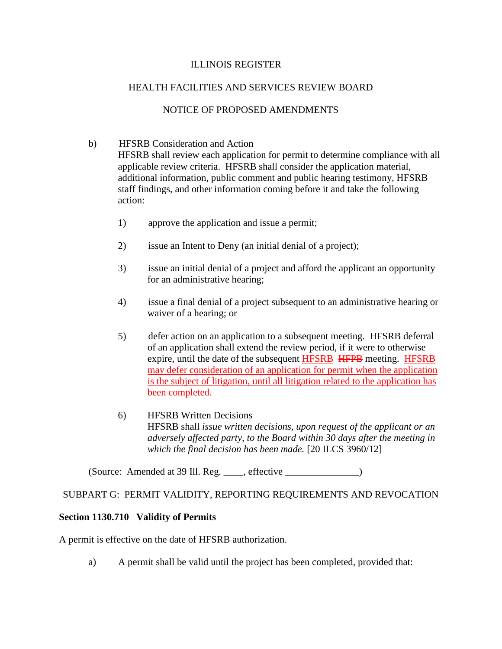# NOTICE OF PROPOSED AMENDMENTS

# b) HFSRB Consideration and Action

HFSRB shall review each application for permit to determine compliance with all applicable review criteria. HFSRB shall consider the application material, additional information, public comment and public hearing testimony, HFSRB staff findings, and other information coming before it and take the following action:

- 1) approve the application and issue a permit;
- 2) issue an Intent to Deny (an initial denial of a project);
- 3) issue an initial denial of a project and afford the applicant an opportunity for an administrative hearing;
- 4) issue a final denial of a project subsequent to an administrative hearing or waiver of a hearing; or
- 5) defer action on an application to a subsequent meeting. HFSRB deferral of an application shall extend the review period, if it were to otherwise expire, until the date of the subsequent HFSRB HFPB meeting. HFSRB may defer consideration of an application for permit when the application is the subject of litigation, until all litigation related to the application has been completed.
- 6) HFSRB Written Decisions HFSRB shall *issue written decisions, upon request of the applicant or an adversely affected party, to the Board within 30 days after the meeting in which the final decision has been made.* [20 ILCS 3960/12]

 $(Source: Amented at 39 Ill. Reg. \_\_\_\_, effective \_\_\_\_\_.)$ 

# SUBPART G: PERMIT VALIDITY, REPORTING REQUIREMENTS AND REVOCATION

# **Section 1130.710 Validity of Permits**

A permit is effective on the date of HFSRB authorization.

a) A permit shall be valid until the project has been completed, provided that: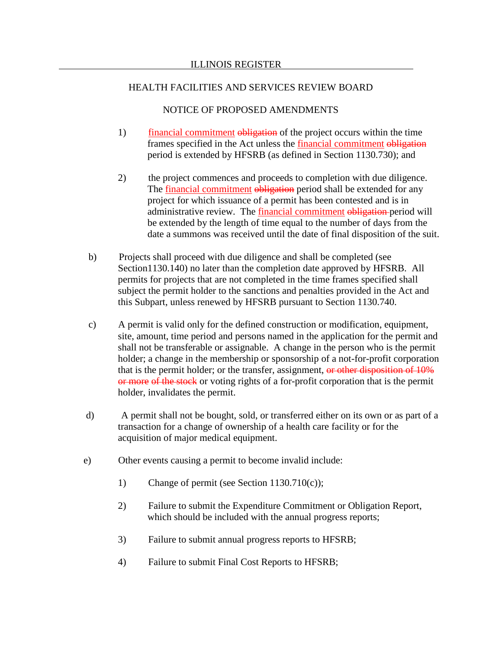## NOTICE OF PROPOSED AMENDMENTS

- 1) financial commitment obligation of the project occurs within the time frames specified in the Act unless the financial commitment obligation period is extended by HFSRB (as defined in Section 1130.730); and
- 2) the project commences and proceeds to completion with due diligence. The *financial commitment* obligation period shall be extended for any project for which issuance of a permit has been contested and is in administrative review. The financial commitment obligation period will be extended by the length of time equal to the number of days from the date a summons was received until the date of final disposition of the suit.
- b) Projects shall proceed with due diligence and shall be completed (see Section1130.140) no later than the completion date approved by HFSRB. All permits for projects that are not completed in the time frames specified shall subject the permit holder to the sanctions and penalties provided in the Act and this Subpart, unless renewed by HFSRB pursuant to Section 1130.740.
- c) A permit is valid only for the defined construction or modification, equipment, site, amount, time period and persons named in the application for the permit and shall not be transferable or assignable. A change in the person who is the permit holder; a change in the membership or sponsorship of a not-for-profit corporation that is the permit holder; or the transfer, assignment, or other disposition of 10% or more of the stock or voting rights of a for-profit corporation that is the permit holder, invalidates the permit.
- d) A permit shall not be bought, sold, or transferred either on its own or as part of a transaction for a change of ownership of a health care facility or for the acquisition of major medical equipment.
- e) Other events causing a permit to become invalid include:
	- 1) Change of permit (see Section 1130.710(c));
	- 2) Failure to submit the Expenditure Commitment or Obligation Report, which should be included with the annual progress reports;
	- 3) Failure to submit annual progress reports to HFSRB;
	- 4) Failure to submit Final Cost Reports to HFSRB;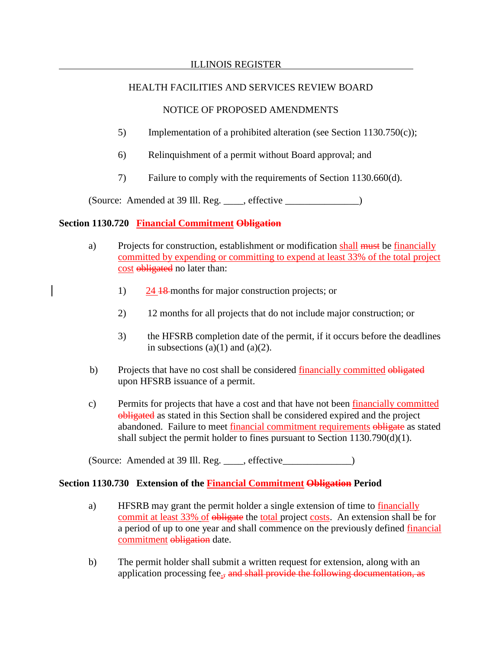# NOTICE OF PROPOSED AMENDMENTS

- 5) Implementation of a prohibited alteration (see Section 1130.750(c));
- 6) Relinquishment of a permit without Board approval; and
- 7) Failure to comply with the requirements of Section 1130.660(d).

(Source: Amended at 39 Ill. Reg. effective )

# **Section 1130.720 Financial Commitment Obligation**

- a) Projects for construction, establishment or modification shall must be financially committed by expending or committing to expend at least 33% of the total project cost obligated no later than:
	- 1) 24 18 months for major construction projects; or
	- 2) 12 months for all projects that do not include major construction; or
	- 3) the HFSRB completion date of the permit, if it occurs before the deadlines in subsections  $(a)(1)$  and  $(a)(2)$ .
- b) Projects that have no cost shall be considered financially committed obligated upon HFSRB issuance of a permit.
- c) Permits for projects that have a cost and that have not been financially committed obligated as stated in this Section shall be considered expired and the project abandoned. Failure to meet financial commitment requirements obligate as stated shall subject the permit holder to fines pursuant to Section 1130.790(d)(1).

(Source: Amended at 39 Ill. Reg. effective )

# **Section 1130.730 Extension of the Financial Commitment Obligation Period**

- a) HFSRB may grant the permit holder a single extension of time to financially commit at least 33% of obligate the total project costs. An extension shall be for a period of up to one year and shall commence on the previously defined financial commitment obligation date.
- b) The permit holder shall submit a written request for extension, along with an application processing fee., and shall provide the following documentation, as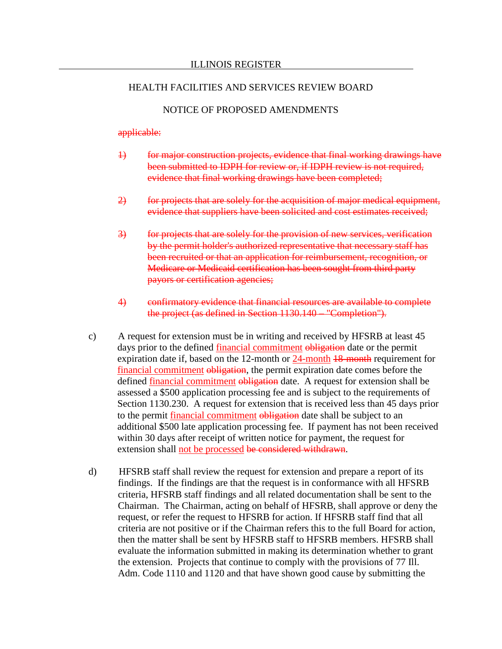## NOTICE OF PROPOSED AMENDMENTS

### applicable:

- 1) for major construction projects, evidence that final working drawings have been submitted to IDPH for review or, if IDPH review is not required, evidence that final working drawings have been completed;
- 2) for projects that are solely for the acquisition of major medical equipment, evidence that suppliers have been solicited and cost estimates received;
- 3) for projects that are solely for the provision of new services, verification by the permit holder's authorized representative that necessary staff has been recruited or that an application for reimbursement, recognition, or Medicare or Medicaid certification has been sought from third party payors or certification agencies;
- 4) confirmatory evidence that financial resources are available to complete the project (as defined in Section 1130.140 "Completion").
- c) A request for extension must be in writing and received by HFSRB at least 45 days prior to the defined financial commitment obligation date or the permit expiration date if, based on the 12-month or 24-month 18-month requirement for financial commitment obligation, the permit expiration date comes before the defined financial commitment obligation date. A request for extension shall be assessed a \$500 application processing fee and is subject to the requirements of Section 1130.230. A request for extension that is received less than 45 days prior to the permit financial commitment obligation date shall be subject to an additional \$500 late application processing fee. If payment has not been received within 30 days after receipt of written notice for payment, the request for extension shall not be processed be considered withdrawn.
- d) HFSRB staff shall review the request for extension and prepare a report of its findings. If the findings are that the request is in conformance with all HFSRB criteria, HFSRB staff findings and all related documentation shall be sent to the Chairman. The Chairman, acting on behalf of HFSRB, shall approve or deny the request, or refer the request to HFSRB for action. If HFSRB staff find that all criteria are not positive or if the Chairman refers this to the full Board for action, then the matter shall be sent by HFSRB staff to HFSRB members. HFSRB shall evaluate the information submitted in making its determination whether to grant the extension. Projects that continue to comply with the provisions of 77 Ill. Adm. Code 1110 and 1120 and that have shown good cause by submitting the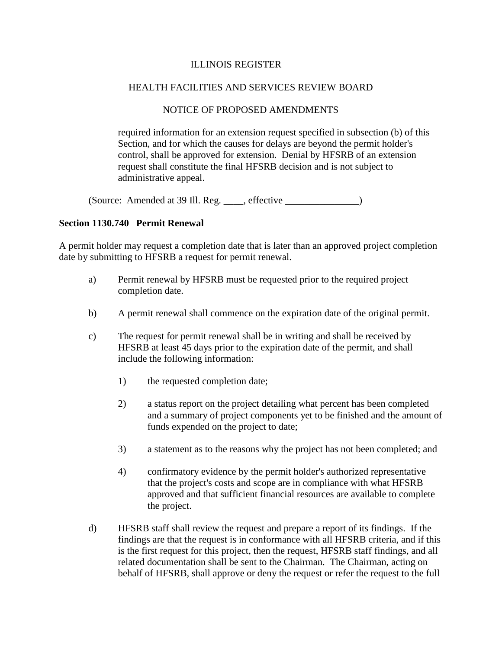# NOTICE OF PROPOSED AMENDMENTS

required information for an extension request specified in subsection (b) of this Section, and for which the causes for delays are beyond the permit holder's control, shall be approved for extension. Denial by HFSRB of an extension request shall constitute the final HFSRB decision and is not subject to administrative appeal.

 $(Source: Amented at 39 Ill. Reg. \_\_\_\_, effective \_\_\_\_\_.)$ 

# **Section 1130.740 Permit Renewal**

A permit holder may request a completion date that is later than an approved project completion date by submitting to HFSRB a request for permit renewal.

- a) Permit renewal by HFSRB must be requested prior to the required project completion date.
- b) A permit renewal shall commence on the expiration date of the original permit.
- c) The request for permit renewal shall be in writing and shall be received by HFSRB at least 45 days prior to the expiration date of the permit, and shall include the following information:
	- 1) the requested completion date;
	- 2) a status report on the project detailing what percent has been completed and a summary of project components yet to be finished and the amount of funds expended on the project to date;
	- 3) a statement as to the reasons why the project has not been completed; and
	- 4) confirmatory evidence by the permit holder's authorized representative that the project's costs and scope are in compliance with what HFSRB approved and that sufficient financial resources are available to complete the project.
- d) HFSRB staff shall review the request and prepare a report of its findings. If the findings are that the request is in conformance with all HFSRB criteria, and if this is the first request for this project, then the request, HFSRB staff findings, and all related documentation shall be sent to the Chairman. The Chairman, acting on behalf of HFSRB, shall approve or deny the request or refer the request to the full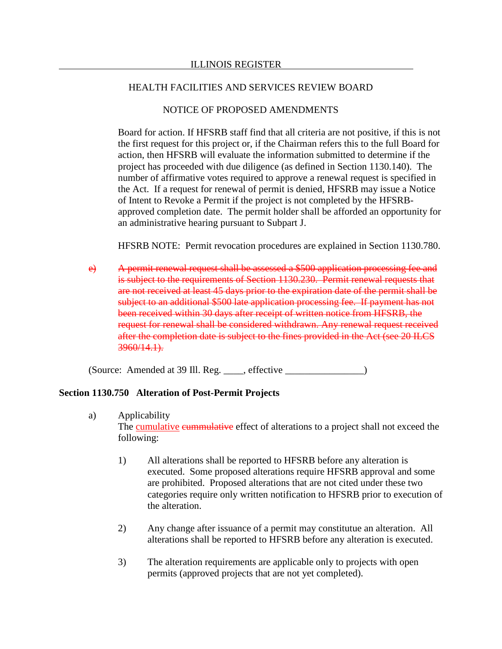## NOTICE OF PROPOSED AMENDMENTS

Board for action. If HFSRB staff find that all criteria are not positive, if this is not the first request for this project or, if the Chairman refers this to the full Board for action, then HFSRB will evaluate the information submitted to determine if the project has proceeded with due diligence (as defined in Section 1130.140). The number of affirmative votes required to approve a renewal request is specified in the Act. If a request for renewal of permit is denied, HFSRB may issue a Notice of Intent to Revoke a Permit if the project is not completed by the HFSRBapproved completion date. The permit holder shall be afforded an opportunity for an administrative hearing pursuant to Subpart J.

HFSRB NOTE: Permit revocation procedures are explained in Section 1130.780.

e) A permit renewal request shall be assessed a \$500 application processing fee and is subject to the requirements of Section 1130.230. Permit renewal requests that are not received at least 45 days prior to the expiration date of the permit shall be subject to an additional \$500 late application processing fee. If payment has not been received within 30 days after receipt of written notice from HFSRB, the request for renewal shall be considered withdrawn. Any renewal request received after the completion date is subject to the fines provided in the Act (see 20 ILCS 3960/14.1).

(Source: Amended at 39 Ill. Reg. \_\_\_\_, effective \_\_\_\_\_\_\_\_\_\_\_\_\_\_\_\_)

## **Section 1130.750 Alteration of Post-Permit Projects**

- a) Applicability The cumulative eummulative effect of alterations to a project shall not exceed the following:
	- 1) All alterations shall be reported to HFSRB before any alteration is executed. Some proposed alterations require HFSRB approval and some are prohibited. Proposed alterations that are not cited under these two categories require only written notification to HFSRB prior to execution of the alteration.
	- 2) Any change after issuance of a permit may constitutue an alteration. All alterations shall be reported to HFSRB before any alteration is executed.
	- 3) The alteration requirements are applicable only to projects with open permits (approved projects that are not yet completed).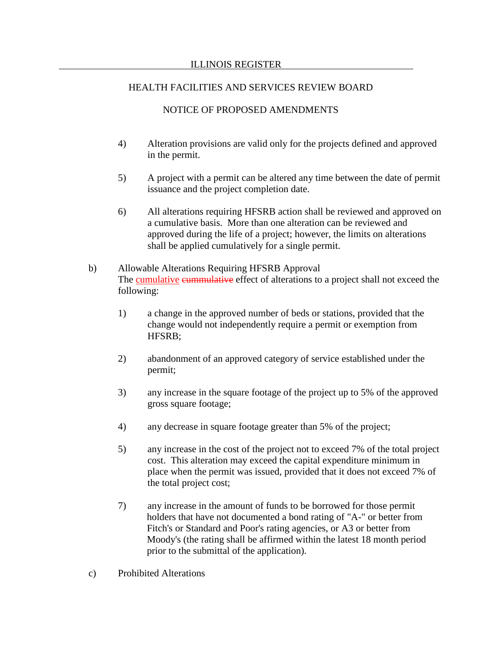# NOTICE OF PROPOSED AMENDMENTS

- 4) Alteration provisions are valid only for the projects defined and approved in the permit.
- 5) A project with a permit can be altered any time between the date of permit issuance and the project completion date.
- 6) All alterations requiring HFSRB action shall be reviewed and approved on a cumulative basis. More than one alteration can be reviewed and approved during the life of a project; however, the limits on alterations shall be applied cumulatively for a single permit.
- b) Allowable Alterations Requiring HFSRB Approval The **cumulative eummulative** effect of alterations to a project shall not exceed the following:
	- 1) a change in the approved number of beds or stations, provided that the change would not independently require a permit or exemption from HFSRB;
	- 2) abandonment of an approved category of service established under the permit;
	- 3) any increase in the square footage of the project up to 5% of the approved gross square footage;
	- 4) any decrease in square footage greater than 5% of the project;
	- 5) any increase in the cost of the project not to exceed 7% of the total project cost. This alteration may exceed the capital expenditure minimum in place when the permit was issued, provided that it does not exceed 7% of the total project cost;
	- 7) any increase in the amount of funds to be borrowed for those permit holders that have not documented a bond rating of "A-" or better from Fitch's or Standard and Poor's rating agencies, or A3 or better from Moody's (the rating shall be affirmed within the latest 18 month period prior to the submittal of the application).
- c) Prohibited Alterations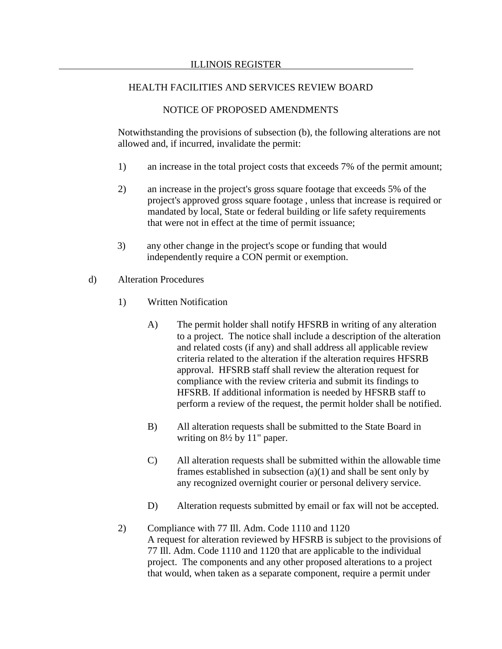## NOTICE OF PROPOSED AMENDMENTS

Notwithstanding the provisions of subsection (b), the following alterations are not allowed and, if incurred, invalidate the permit:

- 1) an increase in the total project costs that exceeds 7% of the permit amount;
- 2) an increase in the project's gross square footage that exceeds 5% of the project's approved gross square footage , unless that increase is required or mandated by local, State or federal building or life safety requirements that were not in effect at the time of permit issuance;
- 3) any other change in the project's scope or funding that would independently require a CON permit or exemption.
- d) Alteration Procedures
	- 1) Written Notification
		- A) The permit holder shall notify HFSRB in writing of any alteration to a project. The notice shall include a description of the alteration and related costs (if any) and shall address all applicable review criteria related to the alteration if the alteration requires HFSRB approval. HFSRB staff shall review the alteration request for compliance with the review criteria and submit its findings to HFSRB. If additional information is needed by HFSRB staff to perform a review of the request, the permit holder shall be notified.
		- B) All alteration requests shall be submitted to the State Board in writing on 8½ by 11" paper.
		- C) All alteration requests shall be submitted within the allowable time frames established in subsection (a)(1) and shall be sent only by any recognized overnight courier or personal delivery service.
		- D) Alteration requests submitted by email or fax will not be accepted.
	- 2) Compliance with 77 Ill. Adm. Code 1110 and 1120 A request for alteration reviewed by HFSRB is subject to the provisions of 77 Ill. Adm. Code 1110 and 1120 that are applicable to the individual project. The components and any other proposed alterations to a project that would, when taken as a separate component, require a permit under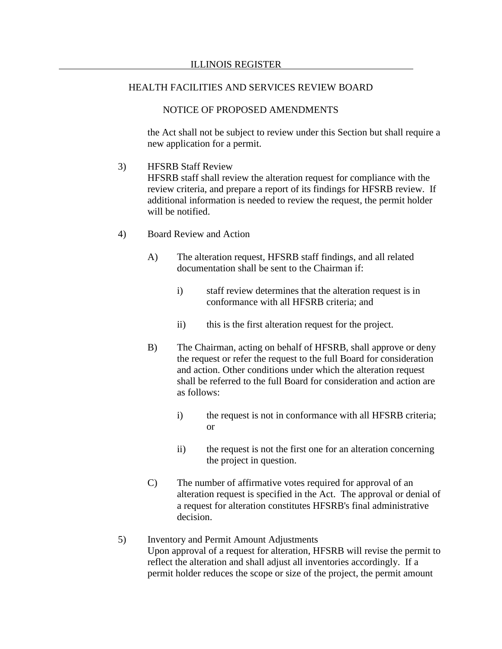# NOTICE OF PROPOSED AMENDMENTS

the Act shall not be subject to review under this Section but shall require a new application for a permit.

3) HFSRB Staff Review

HFSRB staff shall review the alteration request for compliance with the review criteria, and prepare a report of its findings for HFSRB review. If additional information is needed to review the request, the permit holder will be notified.

- 4) Board Review and Action
	- A) The alteration request, HFSRB staff findings, and all related documentation shall be sent to the Chairman if:
		- i) staff review determines that the alteration request is in conformance with all HFSRB criteria; and
		- ii) this is the first alteration request for the project.
	- B) The Chairman, acting on behalf of HFSRB, shall approve or deny the request or refer the request to the full Board for consideration and action. Other conditions under which the alteration request shall be referred to the full Board for consideration and action are as follows:
		- i) the request is not in conformance with all HFSRB criteria; or
		- ii) the request is not the first one for an alteration concerning the project in question.
	- C) The number of affirmative votes required for approval of an alteration request is specified in the Act. The approval or denial of a request for alteration constitutes HFSRB's final administrative decision.
- 5) Inventory and Permit Amount Adjustments Upon approval of a request for alteration, HFSRB will revise the permit to reflect the alteration and shall adjust all inventories accordingly. If a permit holder reduces the scope or size of the project, the permit amount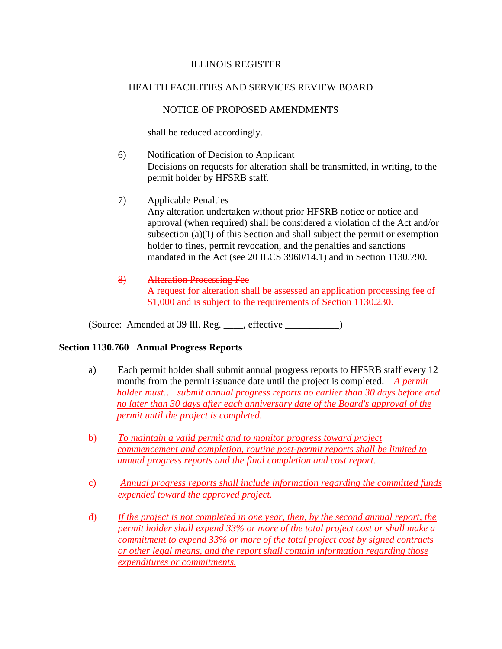# NOTICE OF PROPOSED AMENDMENTS

shall be reduced accordingly.

- 6) Notification of Decision to Applicant Decisions on requests for alteration shall be transmitted, in writing, to the permit holder by HFSRB staff.
- 7) Applicable Penalties Any alteration undertaken without prior HFSRB notice or notice and approval (when required) shall be considered a violation of the Act and/or subsection (a)(1) of this Section and shall subject the permit or exemption holder to fines, permit revocation, and the penalties and sanctions mandated in the Act (see 20 ILCS 3960/14.1) and in Section 1130.790.
- 8) Alteration Processing Fee A request for alteration shall be assessed an application processing fee of \$1,000 and is subject to the requirements of Section 1130.230.

(Source: Amended at 39 Ill. Reg. \_\_\_\_, effective \_\_\_\_\_\_\_\_\_\_\_)

## **Section 1130.760 Annual Progress Reports**

- a) Each permit holder shall submit annual progress reports to HFSRB staff every 12 months from the permit issuance date until the project is completed. *A permit holder must… submit annual progress reports no earlier than 30 days before and no later than 30 days after each anniversary date of the Board's approval of the permit until the project is completed.*
- b) *To maintain a valid permit and to monitor progress toward project commencement and completion, routine post-permit reports shall be limited to annual progress reports and the final completion and cost report.*
- c) *Annual progress reports shall include information regarding the committed funds expended toward the approved project.*
- d) *If the project is not completed in one year, then, by the second annual report, the permit holder shall expend 33% or more of the total project cost or shall make a commitment to expend 33% or more of the total project cost by signed contracts or other legal means, and the report shall contain information regarding those expenditures or commitments.*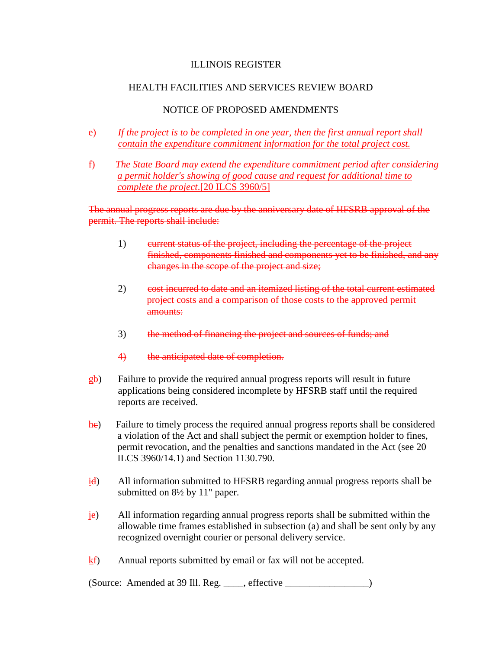### ILLINOIS REGISTER

# HEALTH FACILITIES AND SERVICES REVIEW BOARD

# NOTICE OF PROPOSED AMENDMENTS

- e) *If the project is to be completed in one year, then the first annual report shall contain the expenditure commitment information for the total project cost.*
- f) *The State Board may extend the expenditure commitment period after considering a permit holder's showing of good cause and request for additional time to complete the project*.[20 ILCS 3960/5]

The annual progress reports are due by the anniversary date of HFSRB approval of the permit. The reports shall include:

- 1) eurrent status of the project, including the percentage of the project finished, components finished and components yet to be finished, and any changes in the scope of the project and size;
- 2) cost incurred to date and an itemized listing of the total current estimated project costs and a comparison of those costs to the approved permit amounts:
- 3) the method of financing the project and sources of funds; and
- 4) the anticipated date of completion.
- gb) Failure to provide the required annual progress reports will result in future applications being considered incomplete by HFSRB staff until the required reports are received.
- he) Failure to timely process the required annual progress reports shall be considered a violation of the Act and shall subject the permit or exemption holder to fines, permit revocation, and the penalties and sanctions mandated in the Act (see 20 ILCS 3960/14.1) and Section 1130.790.
- $\frac{i}{d}$  All information submitted to HFSRB regarding annual progress reports shall be submitted on 8½ by 11" paper.
- je) All information regarding annual progress reports shall be submitted within the allowable time frames established in subsection (a) and shall be sent only by any recognized overnight courier or personal delivery service.
- kf) Annual reports submitted by email or fax will not be accepted.

(Source: Amended at 39 Ill. Reg. \_\_\_\_, effective \_\_\_\_\_\_\_\_\_\_\_\_\_\_\_\_\_)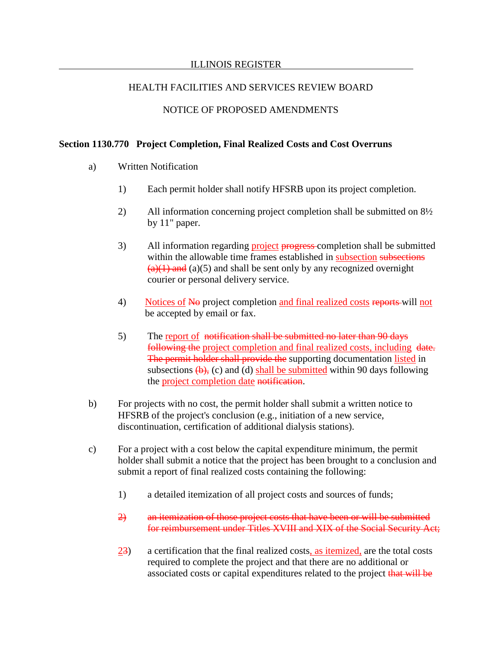### ILLINOIS REGISTER

# HEALTH FACILITIES AND SERVICES REVIEW BOARD

# NOTICE OF PROPOSED AMENDMENTS

### **Section 1130.770 Project Completion, Final Realized Costs and Cost Overruns**

- a) Written Notification
	- 1) Each permit holder shall notify HFSRB upon its project completion.
	- 2) All information concerning project completion shall be submitted on 8½ by 11" paper.
	- 3) All information regarding project progress-completion shall be submitted within the allowable time frames established in subsection subsections  $(a)(1)$  and  $(a)(5)$  and shall be sent only by any recognized overnight courier or personal delivery service.
	- 4) Notices of No project completion and final realized costs reports will not be accepted by email or fax.
	- 5) The report of notification shall be submitted no later than 90 days following the project completion and final realized costs, including date. The permit holder shall provide the supporting documentation listed in subsections  $(b)$ , (c) and (d) shall be submitted within 90 days following the project completion date notification.
- b) For projects with no cost, the permit holder shall submit a written notice to HFSRB of the project's conclusion (e.g., initiation of a new service, discontinuation, certification of additional dialysis stations).
- c) For a project with a cost below the capital expenditure minimum, the permit holder shall submit a notice that the project has been brought to a conclusion and submit a report of final realized costs containing the following:
	- 1) a detailed itemization of all project costs and sources of funds;
	- 2) an itemization of those project costs that have been or will be submitted for reimbursement under Titles XVIII and XIX of the Social Security Act;
	- 23) a certification that the final realized costs, as itemized, are the total costs required to complete the project and that there are no additional or associated costs or capital expenditures related to the project that will be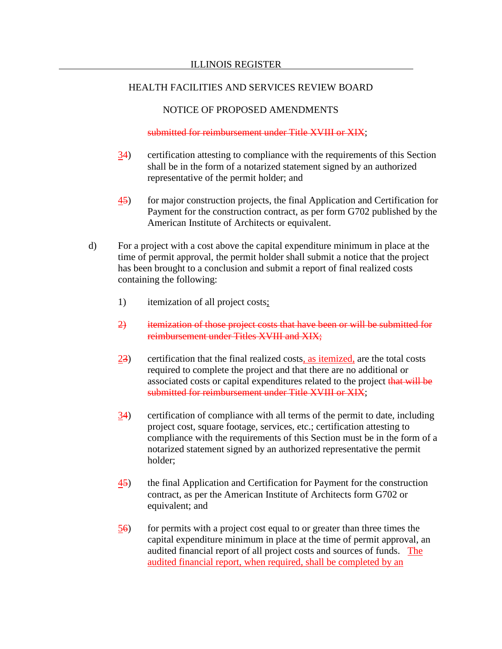# NOTICE OF PROPOSED AMENDMENTS

### submitted for reimbursement under Title XVIII or XIX;

- 34) certification attesting to compliance with the requirements of this Section shall be in the form of a notarized statement signed by an authorized representative of the permit holder; and
- 45) for major construction projects, the final Application and Certification for Payment for the construction contract, as per form G702 published by the American Institute of Architects or equivalent.
- d) For a project with a cost above the capital expenditure minimum in place at the time of permit approval, the permit holder shall submit a notice that the project has been brought to a conclusion and submit a report of final realized costs containing the following:
	- 1) itemization of all project costs;
	- 2) itemization of those project costs that have been or will be submitted for reimbursement under Titles XVIII and XIX;
	- 23) certification that the final realized costs, as itemized, are the total costs required to complete the project and that there are no additional or associated costs or capital expenditures related to the project that will be submitted for reimbursement under Title XVIII or XIX;
	- 34) certification of compliance with all terms of the permit to date, including project cost, square footage, services, etc.; certification attesting to compliance with the requirements of this Section must be in the form of a notarized statement signed by an authorized representative the permit holder;
	- 45) the final Application and Certification for Payment for the construction contract, as per the American Institute of Architects form G702 or equivalent; and
	- 56) for permits with a project cost equal to or greater than three times the capital expenditure minimum in place at the time of permit approval, an audited financial report of all project costs and sources of funds. The audited financial report, when required, shall be completed by an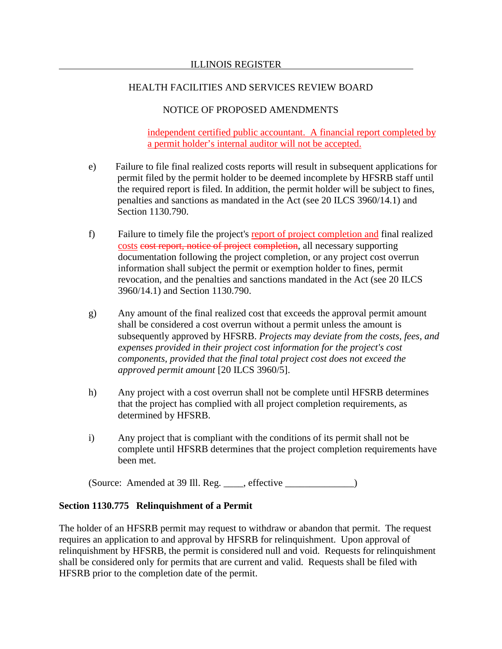# NOTICE OF PROPOSED AMENDMENTS

independent certified public accountant. A financial report completed by a permit holder's internal auditor will not be accepted.

- e) Failure to file final realized costs reports will result in subsequent applications for permit filed by the permit holder to be deemed incomplete by HFSRB staff until the required report is filed. In addition, the permit holder will be subject to fines, penalties and sanctions as mandated in the Act (see 20 ILCS 3960/14.1) and Section 1130.790.
- f) Failure to timely file the project's report of project completion and final realized costs cost report, notice of project completion, all necessary supporting documentation following the project completion, or any project cost overrun information shall subject the permit or exemption holder to fines, permit revocation, and the penalties and sanctions mandated in the Act (see 20 ILCS 3960/14.1) and Section 1130.790.
- g) Any amount of the final realized cost that exceeds the approval permit amount shall be considered a cost overrun without a permit unless the amount is subsequently approved by HFSRB. *Projects may deviate from the costs, fees, and expenses provided in their project cost information for the project's cost components, provided that the final total project cost does not exceed the approved permit amount* [20 ILCS 3960/5].
- h) Any project with a cost overrun shall not be complete until HFSRB determines that the project has complied with all project completion requirements, as determined by HFSRB.
- i) Any project that is compliant with the conditions of its permit shall not be complete until HFSRB determines that the project completion requirements have been met.

(Source: Amended at 39 Ill. Reg. \_\_\_\_, effective \_\_\_\_\_\_\_\_\_\_\_\_\_\_)

## **Section 1130.775 Relinquishment of a Permit**

The holder of an HFSRB permit may request to withdraw or abandon that permit. The request requires an application to and approval by HFSRB for relinquishment. Upon approval of relinquishment by HFSRB, the permit is considered null and void. Requests for relinquishment shall be considered only for permits that are current and valid. Requests shall be filed with HFSRB prior to the completion date of the permit.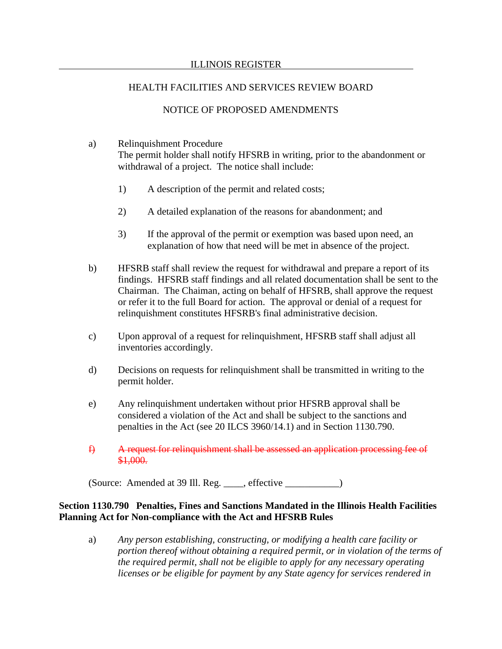# NOTICE OF PROPOSED AMENDMENTS

- a) Relinquishment Procedure The permit holder shall notify HFSRB in writing, prior to the abandonment or withdrawal of a project. The notice shall include:
	- 1) A description of the permit and related costs;
	- 2) A detailed explanation of the reasons for abandonment; and
	- 3) If the approval of the permit or exemption was based upon need, an explanation of how that need will be met in absence of the project.
- b) HFSRB staff shall review the request for withdrawal and prepare a report of its findings. HFSRB staff findings and all related documentation shall be sent to the Chairman. The Chaiman, acting on behalf of HFSRB, shall approve the request or refer it to the full Board for action. The approval or denial of a request for relinquishment constitutes HFSRB's final administrative decision.
- c) Upon approval of a request for relinquishment, HFSRB staff shall adjust all inventories accordingly.
- d) Decisions on requests for relinquishment shall be transmitted in writing to the permit holder.
- e) Any relinquishment undertaken without prior HFSRB approval shall be considered a violation of the Act and shall be subject to the sanctions and penalties in the Act (see 20 ILCS 3960/14.1) and in Section 1130.790.
- f) A request for relinquishment shall be assessed an application processing fee of \$1,000.

(Source: Amended at 39 Ill. Reg. \_\_\_\_, effective \_\_\_\_\_\_\_\_\_\_\_)

# **Section 1130.790 Penalties, Fines and Sanctions Mandated in the Illinois Health Facilities Planning Act for Non-compliance with the Act and HFSRB Rules**

a) *Any person establishing, constructing, or modifying a health care facility or portion thereof without obtaining a required permit, or in violation of the terms of the required permit, shall not be eligible to apply for any necessary operating licenses or be eligible for payment by any State agency for services rendered in*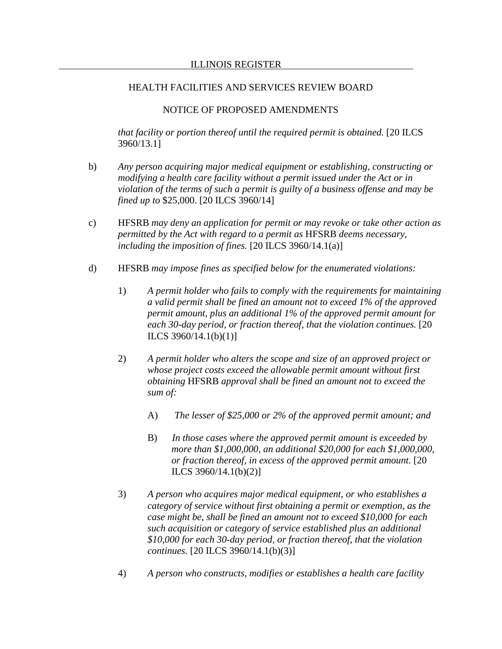## NOTICE OF PROPOSED AMENDMENTS

*that facility or portion thereof until the required permit is obtained.* [20 ILCS 3960/13.1]

- b) *Any person acquiring major medical equipment or establishing, constructing or modifying a health care facility without a permit issued under the Act or in violation of the terms of such a permit is guilty of a business offense and may be fined up to* \$25,000. [20 ILCS 3960/14]
- c) HFSRB *may deny an application for permit or may revoke or take other action as permitted by the Act with regard to a permit as* HFSRB *deems necessary, including the imposition of fines.* [20 ILCS 3960/14.1(a)]
- d) HFSRB *may impose fines as specified below for the enumerated violations:*
	- 1) *A permit holder who fails to comply with the requirements for maintaining a valid permit shall be fined an amount not to exceed 1% of the approved permit amount, plus an additional 1% of the approved permit amount for each 30-day period, or fraction thereof, that the violation continues.* [20 ILCS 3960/14.1(b)(1)]
	- 2) *A permit holder who alters the scope and size of an approved project or whose project costs exceed the allowable permit amount without first obtaining* HFSRB *approval shall be fined an amount not to exceed the sum of:*
		- A) *The lesser of \$25,000 or 2% of the approved permit amount; and*
		- B) *In those cases where the approved permit amount is exceeded by more than \$1,000,000, an additional \$20,000 for each \$1,000,000, or fraction thereof, in excess of the approved permit amount.* [20 ILCS 3960/14.1(b)(2)]
	- 3) *A person who acquires major medical equipment, or who establishes a category of service without first obtaining a permit or exemption, as the case might be, shall be fined an amount not to exceed \$10,000 for each such acquisition or category of service established plus an additional \$10,000 for each 30-day period, or fraction thereof, that the violation continues.* [20 ILCS 3960/14.1(b)(3)]
	- 4) *A person who constructs, modifies or establishes a health care facility*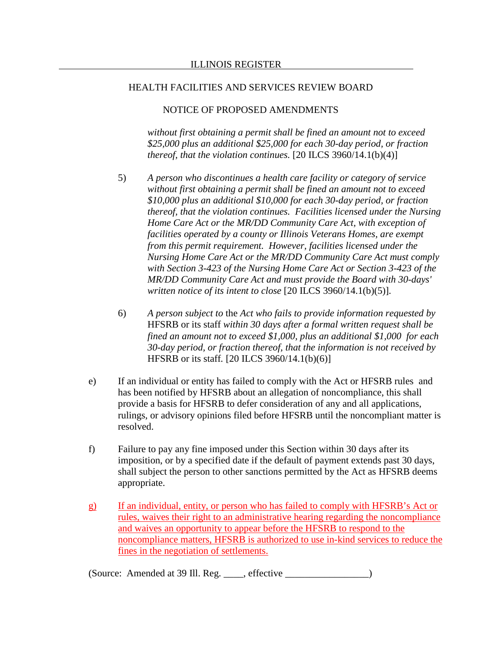### NOTICE OF PROPOSED AMENDMENTS

*without first obtaining a permit shall be fined an amount not to exceed \$25,000 plus an additional \$25,000 for each 30-day period, or fraction thereof, that the violation continues.* [20 ILCS 3960/14.1(b)(4)]

- 5) *A person who discontinues a health care facility or category of service without first obtaining a permit shall be fined an amount not to exceed \$10,000 plus an additional \$10,000 for each 30-day period, or fraction thereof, that the violation continues. Facilities licensed under the Nursing Home Care Act or the MR/DD Community Care Act, with exception of facilities operated by a county or Illinois Veterans Homes, are exempt from this permit requirement. However, facilities licensed under the Nursing Home Care Act or the MR/DD Community Care Act must comply with Section 3-423 of the Nursing Home Care Act or Section 3-423 of the MR/DD Community Care Act and must provide the Board with 30-days' written notice of its intent to close* [20 ILCS 3960/14.1(b)(5)]*.*
- 6) *A person subject to* the *Act who fails to provide information requested by*  HFSRB or its staff *within 30 days after a formal written request shall be fined an amount not to exceed \$1,000, plus an additional \$1,000 for each 30-day period, or fraction thereof, that the information is not received by*  HFSRB or its staff*.* [20 ILCS 3960/14.1(b)(6)]
- e) If an individual or entity has failed to comply with the Act or HFSRB rules and has been notified by HFSRB about an allegation of noncompliance, this shall provide a basis for HFSRB to defer consideration of any and all applications, rulings, or advisory opinions filed before HFSRB until the noncompliant matter is resolved.
- f) Failure to pay any fine imposed under this Section within 30 days after its imposition, or by a specified date if the default of payment extends past 30 days, shall subject the person to other sanctions permitted by the Act as HFSRB deems appropriate.
- g) If an individual, entity, or person who has failed to comply with HFSRB's Act or rules, waives their right to an administrative hearing regarding the noncompliance and waives an opportunity to appear before the HFSRB to respond to the noncompliance matters, HFSRB is authorized to use in-kind services to reduce the fines in the negotiation of settlements.

(Source: Amended at 39 Ill. Reg. \_\_\_\_, effective \_\_\_\_\_\_\_\_\_\_\_\_\_\_\_\_\_)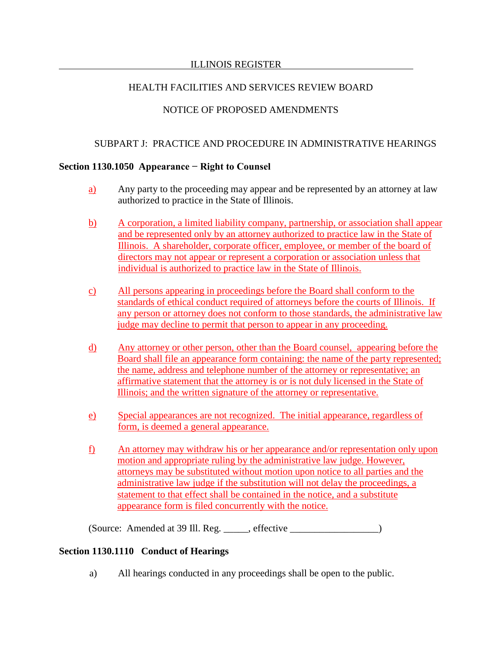## ILLINOIS REGISTER

# HEALTH FACILITIES AND SERVICES REVIEW BOARD

# NOTICE OF PROPOSED AMENDMENTS

# SUBPART J: PRACTICE AND PROCEDURE IN ADMINISTRATIVE HEARINGS

### **Section 1130.1050 Appearance − Right to Counsel**

- a) Any party to the proceeding may appear and be represented by an attorney at law authorized to practice in the State of Illinois.
- b) A corporation, a limited liability company, partnership, or association shall appear and be represented only by an attorney authorized to practice law in the State of Illinois. A shareholder, corporate officer, employee, or member of the board of directors may not appear or represent a corporation or association unless that individual is authorized to practice law in the State of Illinois.
- c) All persons appearing in proceedings before the Board shall conform to the standards of ethical conduct required of attorneys before the courts of Illinois. If any person or attorney does not conform to those standards, the administrative law judge may decline to permit that person to appear in any proceeding.
- d) Any attorney or other person, other than the Board counsel, appearing before the Board shall file an appearance form containing: the name of the party represented; the name, address and telephone number of the attorney or representative; an affirmative statement that the attorney is or is not duly licensed in the State of Illinois; and the written signature of the attorney or representative.
- e) Special appearances are not recognized. The initial appearance, regardless of form, is deemed a general appearance.
- f) An attorney may withdraw his or her appearance and/or representation only upon motion and appropriate ruling by the administrative law judge. However, attorneys may be substituted without motion upon notice to all parties and the administrative law judge if the substitution will not delay the proceedings, a statement to that effect shall be contained in the notice, and a substitute appearance form is filed concurrently with the notice.

(Source: Amended at 39 Ill. Reg. \_\_\_\_\_, effective \_\_\_\_\_\_\_\_\_\_\_\_\_\_\_\_\_\_)

# **Section 1130.1110 Conduct of Hearings**

a) All hearings conducted in any proceedings shall be open to the public.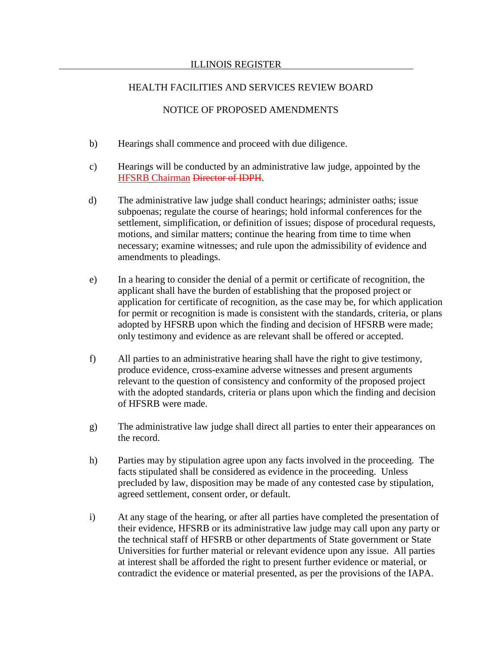# NOTICE OF PROPOSED AMENDMENTS

- b) Hearings shall commence and proceed with due diligence.
- c) Hearings will be conducted by an administrative law judge, appointed by the HFSRB Chairman Director of IDPH.
- d) The administrative law judge shall conduct hearings; administer oaths; issue subpoenas; regulate the course of hearings; hold informal conferences for the settlement, simplification, or definition of issues; dispose of procedural requests, motions, and similar matters; continue the hearing from time to time when necessary; examine witnesses; and rule upon the admissibility of evidence and amendments to pleadings.
- e) In a hearing to consider the denial of a permit or certificate of recognition, the applicant shall have the burden of establishing that the proposed project or application for certificate of recognition, as the case may be, for which application for permit or recognition is made is consistent with the standards, criteria, or plans adopted by HFSRB upon which the finding and decision of HFSRB were made; only testimony and evidence as are relevant shall be offered or accepted.
- f) All parties to an administrative hearing shall have the right to give testimony, produce evidence, cross-examine adverse witnesses and present arguments relevant to the question of consistency and conformity of the proposed project with the adopted standards, criteria or plans upon which the finding and decision of HFSRB were made.
- g) The administrative law judge shall direct all parties to enter their appearances on the record.
- h) Parties may by stipulation agree upon any facts involved in the proceeding. The facts stipulated shall be considered as evidence in the proceeding. Unless precluded by law, disposition may be made of any contested case by stipulation, agreed settlement, consent order, or default.
- i) At any stage of the hearing, or after all parties have completed the presentation of their evidence, HFSRB or its administrative law judge may call upon any party or the technical staff of HFSRB or other departments of State government or State Universities for further material or relevant evidence upon any issue. All parties at interest shall be afforded the right to present further evidence or material, or contradict the evidence or material presented, as per the provisions of the IAPA.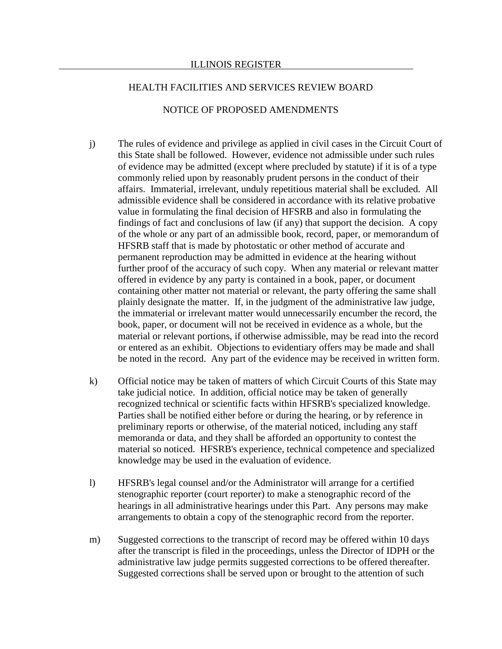## NOTICE OF PROPOSED AMENDMENTS

- j) The rules of evidence and privilege as applied in civil cases in the Circuit Court of this State shall be followed. However, evidence not admissible under such rules of evidence may be admitted (except where precluded by statute) if it is of a type commonly relied upon by reasonably prudent persons in the conduct of their affairs. Immaterial, irrelevant, unduly repetitious material shall be excluded. All admissible evidence shall be considered in accordance with its relative probative value in formulating the final decision of HFSRB and also in formulating the findings of fact and conclusions of law (if any) that support the decision. A copy of the whole or any part of an admissible book, record, paper, or memorandum of HFSRB staff that is made by photostatic or other method of accurate and permanent reproduction may be admitted in evidence at the hearing without further proof of the accuracy of such copy. When any material or relevant matter offered in evidence by any party is contained in a book, paper, or document containing other matter not material or relevant, the party offering the same shall plainly designate the matter. If, in the judgment of the administrative law judge, the immaterial or irrelevant matter would unnecessarily encumber the record, the book, paper, or document will not be received in evidence as a whole, but the material or relevant portions, if otherwise admissible, may be read into the record or entered as an exhibit. Objections to evidentiary offers may be made and shall be noted in the record. Any part of the evidence may be received in written form.
- k) Official notice may be taken of matters of which Circuit Courts of this State may take judicial notice. In addition, official notice may be taken of generally recognized technical or scientific facts within HFSRB's specialized knowledge. Parties shall be notified either before or during the hearing, or by reference in preliminary reports or otherwise, of the material noticed, including any staff memoranda or data, and they shall be afforded an opportunity to contest the material so noticed. HFSRB's experience, technical competence and specialized knowledge may be used in the evaluation of evidence.
- l) HFSRB's legal counsel and/or the Administrator will arrange for a certified stenographic reporter (court reporter) to make a stenographic record of the hearings in all administrative hearings under this Part. Any persons may make arrangements to obtain a copy of the stenographic record from the reporter.
- m) Suggested corrections to the transcript of record may be offered within 10 days after the transcript is filed in the proceedings, unless the Director of IDPH or the administrative law judge permits suggested corrections to be offered thereafter. Suggested corrections shall be served upon or brought to the attention of such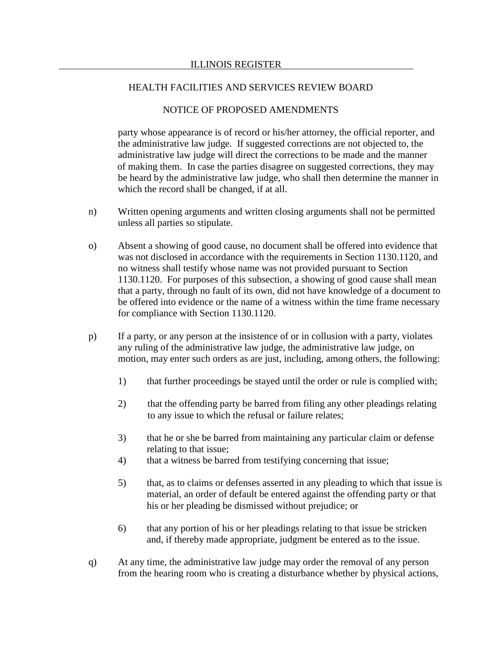# NOTICE OF PROPOSED AMENDMENTS

party whose appearance is of record or his/her attorney, the official reporter, and the administrative law judge. If suggested corrections are not objected to, the administrative law judge will direct the corrections to be made and the manner of making them. In case the parties disagree on suggested corrections, they may be heard by the administrative law judge, who shall then determine the manner in which the record shall be changed, if at all.

- n) Written opening arguments and written closing arguments shall not be permitted unless all parties so stipulate.
- o) Absent a showing of good cause, no document shall be offered into evidence that was not disclosed in accordance with the requirements in Section 1130.1120, and no witness shall testify whose name was not provided pursuant to Section 1130.1120. For purposes of this subsection, a showing of good cause shall mean that a party, through no fault of its own, did not have knowledge of a document to be offered into evidence or the name of a witness within the time frame necessary for compliance with Section 1130.1120.
- p) If a party, or any person at the insistence of or in collusion with a party, violates any ruling of the administrative law judge, the administrative law judge, on motion, may enter such orders as are just, including, among others, the following:
	- 1) that further proceedings be stayed until the order or rule is complied with;
	- 2) that the offending party be barred from filing any other pleadings relating to any issue to which the refusal or failure relates;
	- 3) that he or she be barred from maintaining any particular claim or defense relating to that issue;
	- 4) that a witness be barred from testifying concerning that issue;
	- 5) that, as to claims or defenses asserted in any pleading to which that issue is material, an order of default be entered against the offending party or that his or her pleading be dismissed without prejudice; or
	- 6) that any portion of his or her pleadings relating to that issue be stricken and, if thereby made appropriate, judgment be entered as to the issue.
- q) At any time, the administrative law judge may order the removal of any person from the hearing room who is creating a disturbance whether by physical actions,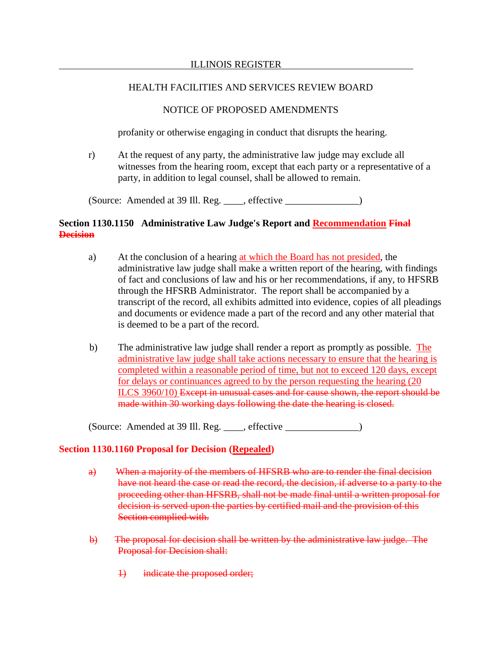### ILLINOIS REGISTER

# HEALTH FACILITIES AND SERVICES REVIEW BOARD

# NOTICE OF PROPOSED AMENDMENTS

profanity or otherwise engaging in conduct that disrupts the hearing.

r) At the request of any party, the administrative law judge may exclude all witnesses from the hearing room, except that each party or a representative of a party, in addition to legal counsel, shall be allowed to remain.

(Source: Amended at  $39$  Ill. Reg. \_\_\_\_, effective  $\_\_$ 

# **Section 1130.1150 Administrative Law Judge's Report and Recommendation Final Decision**

- a) At the conclusion of a hearing at which the Board has not presided, the administrative law judge shall make a written report of the hearing, with findings of fact and conclusions of law and his or her recommendations, if any, to HFSRB through the HFSRB Administrator. The report shall be accompanied by a transcript of the record, all exhibits admitted into evidence, copies of all pleadings and documents or evidence made a part of the record and any other material that is deemed to be a part of the record.
- b) The administrative law judge shall render a report as promptly as possible. The administrative law judge shall take actions necessary to ensure that the hearing is completed within a reasonable period of time, but not to exceed 120 days, except for delays or continuances agreed to by the person requesting the hearing (20 ILCS 3960/10) Except in unusual cases and for cause shown, the report should be made within 30 working days following the date the hearing is closed.

 $(Source: Amented at 39 Ill. Reg. \_\_\_\_, effective \_\_\_\_\_.)$ 

## **Section 1130.1160 Proposal for Decision (Repealed)**

- a) When a majority of the members of HFSRB who are to render the final decision have not heard the case or read the record, the decision, if adverse to a party to the proceeding other than HFSRB, shall not be made final until a written proposal for decision is served upon the parties by certified mail and the provision of this Section complied with.
- b) The proposal for decision shall be written by the administrative law judge. The Proposal for Decision shall:
	- 1) indicate the proposed order;